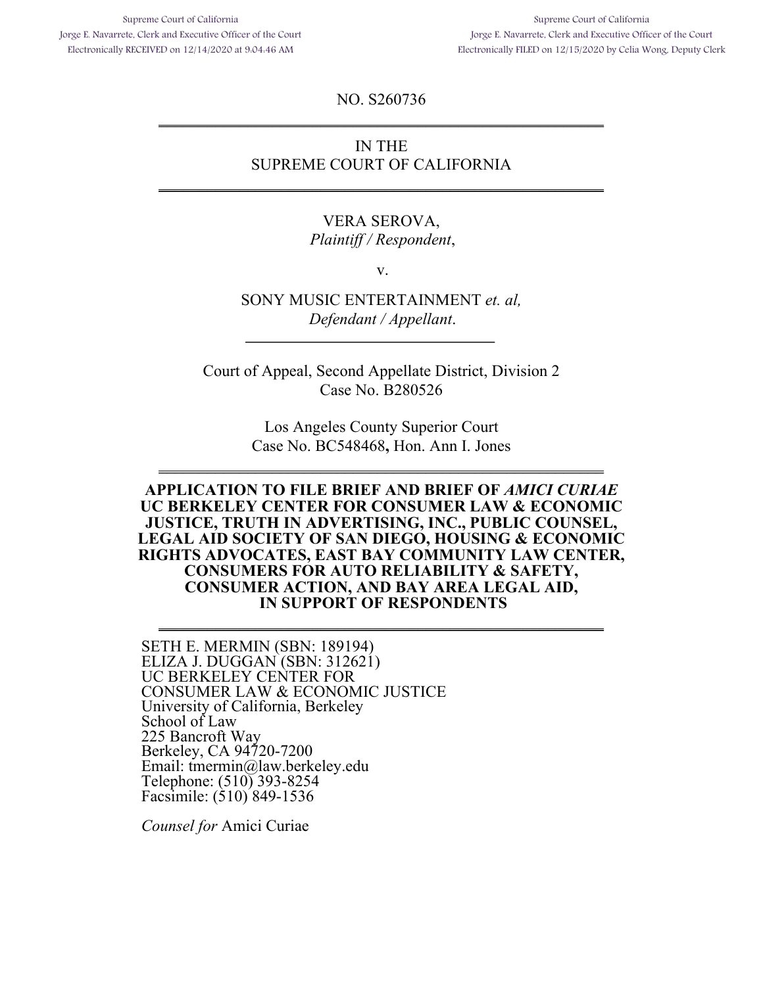Supreme Court of California Jorge E. Navarrete, Clerk and Executive Officer of the Court Electronically RECEIVED on 12/14/2020 at 9:04:46 AM

Supreme Court of California Jorge E. Navarrete, Clerk and Executive Officer of the Court Electronically FILED on 12/15/2020 by Celia Wong, Deputy Clerk

NO. S260736  $\frac{1}{2}$  ,  $\frac{1}{2}$  ,  $\frac{1}{2}$  ,  $\frac{1}{2}$  ,  $\frac{1}{2}$  ,  $\frac{1}{2}$  ,  $\frac{1}{2}$  ,  $\frac{1}{2}$  ,  $\frac{1}{2}$  ,  $\frac{1}{2}$  ,  $\frac{1}{2}$  ,  $\frac{1}{2}$  ,  $\frac{1}{2}$  ,  $\frac{1}{2}$  ,  $\frac{1}{2}$  ,  $\frac{1}{2}$  ,  $\frac{1}{2}$  ,  $\frac{1}{2}$  ,  $\frac{1$ 

## IN THE SUPREME COURT OF CALIFORNIA

\_\_\_\_\_\_\_\_\_\_\_\_\_\_\_\_\_\_\_\_\_\_\_\_\_\_\_\_\_\_\_\_\_\_\_\_\_\_\_\_\_\_\_\_\_\_\_\_\_\_\_\_\_\_\_

#### VERA SEROVA, *Plaintiff / Respondent*,

v.

SONY MUSIC ENTERTAINMENT *et. al, Defendant / Appellant*.

Court of Appeal, Second Appellate District, Division 2 Case No. B280526

> Los Angeles County Superior Court Case No. BC548468**,** Hon. Ann I. Jones

\_\_\_\_\_\_\_\_\_\_\_\_\_\_\_\_\_\_\_\_\_\_\_\_\_\_\_\_\_\_\_\_\_\_\_\_\_\_\_\_\_\_\_\_\_\_\_\_\_\_\_\_\_\_\_

#### **APPLICATION TO FILE BRIEF AND BRIEF OF** *AMICI CURIAE* **UC BERKELEY CENTER FOR CONSUMER LAW & ECONOMIC JUSTICE, TRUTH IN ADVERTISING, INC., PUBLIC COUNSEL, LEGAL AID SOCIETY OF SAN DIEGO, HOUSING & ECONOMIC RIGHTS ADVOCATES, EAST BAY COMMUNITY LAW CENTER, CONSUMERS FOR AUTO RELIABILITY & SAFETY, CONSUMER ACTION, AND BAY AREA LEGAL AID, IN SUPPORT OF RESPONDENTS**

 $\frac{1}{2}$  ,  $\frac{1}{2}$  ,  $\frac{1}{2}$  ,  $\frac{1}{2}$  ,  $\frac{1}{2}$  ,  $\frac{1}{2}$  ,  $\frac{1}{2}$  ,  $\frac{1}{2}$  ,  $\frac{1}{2}$  ,  $\frac{1}{2}$  ,  $\frac{1}{2}$  ,  $\frac{1}{2}$  ,  $\frac{1}{2}$  ,  $\frac{1}{2}$  ,  $\frac{1}{2}$  ,  $\frac{1}{2}$  ,  $\frac{1}{2}$  ,  $\frac{1}{2}$  ,  $\frac{1$ 

SETH E. MERMIN (SBN: 189194) ELIZA J. DUGGAN (SBN: 312621) UC BERKELEY CENTER FOR CONSUMER LAW & ECONOMIC JUSTICE University of California, Berkeley School of Law 225 Bancroft Way Berkeley, CA 94720-7200 Email: tmermin@law.berkeley.edu Telephone: (510) 393-8254 Facsimile: (510) 849-1536

*Counsel for* Amici Curiae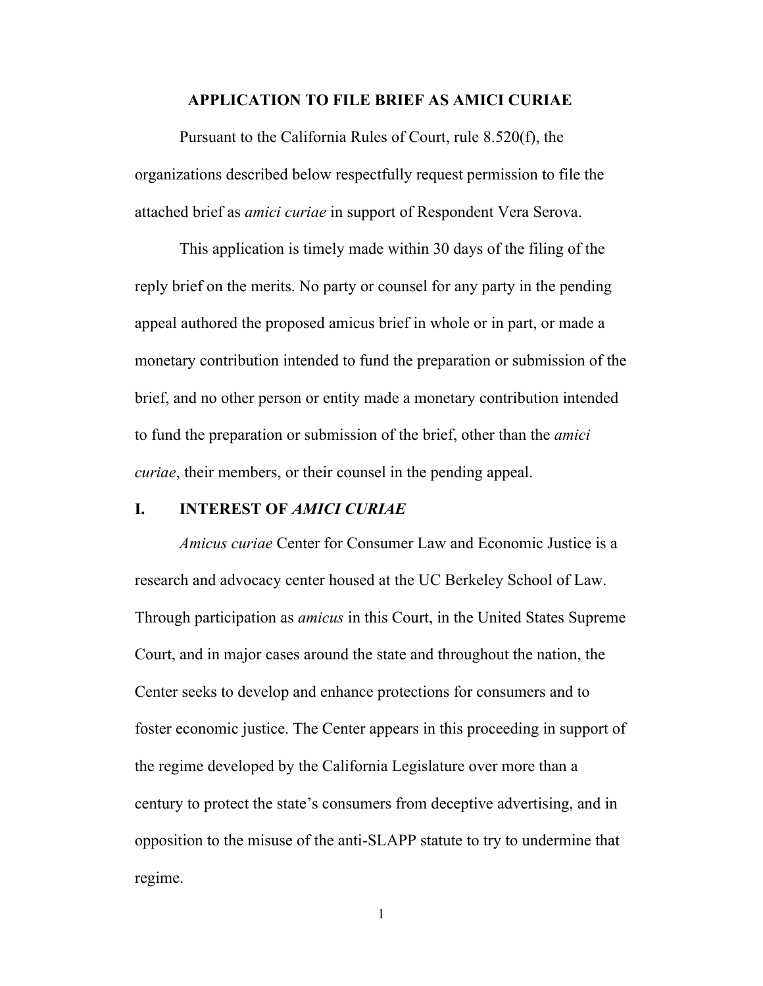#### **APPLICATION TO FILE BRIEF AS AMICI CURIAE**

Pursuant to the California Rules of Court, rule 8.520(f), the organizations described below respectfully request permission to file the attached brief as *amici curiae* in support of Respondent Vera Serova.

This application is timely made within 30 days of the filing of the reply brief on the merits. No party or counsel for any party in the pending appeal authored the proposed amicus brief in whole or in part, or made a monetary contribution intended to fund the preparation or submission of the brief, and no other person or entity made a monetary contribution intended to fund the preparation or submission of the brief, other than the *amici curiae*, their members, or their counsel in the pending appeal.

#### **I. INTEREST OF** *AMICI CURIAE*

*Amicus curiae* Center for Consumer Law and Economic Justice is a research and advocacy center housed at the UC Berkeley School of Law. Through participation as *amicus* in this Court, in the United States Supreme Court, and in major cases around the state and throughout the nation, the Center seeks to develop and enhance protections for consumers and to foster economic justice. The Center appears in this proceeding in support of the regime developed by the California Legislature over more than a century to protect the state's consumers from deceptive advertising, and in opposition to the misuse of the anti-SLAPP statute to try to undermine that regime.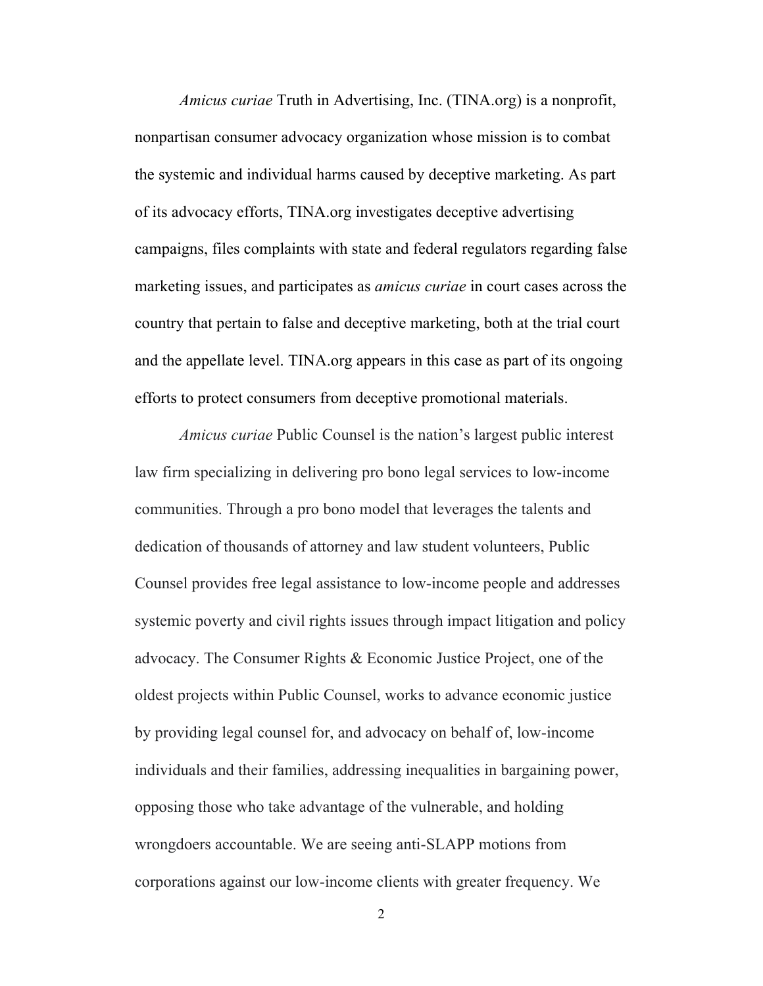*Amicus curiae* Truth in Advertising, Inc. (TINA.org) is a nonprofit, nonpartisan consumer advocacy organization whose mission is to combat the systemic and individual harms caused by deceptive marketing. As part of its advocacy efforts, TINA.org investigates deceptive advertising campaigns, files complaints with state and federal regulators regarding false marketing issues, and participates as *amicus curiae* in court cases across the country that pertain to false and deceptive marketing, both at the trial court and the appellate level. TINA.org appears in this case as part of its ongoing efforts to protect consumers from deceptive promotional materials.

*Amicus curiae* Public Counsel is the nation's largest public interest law firm specializing in delivering pro bono legal services to low-income communities. Through a pro bono model that leverages the talents and dedication of thousands of attorney and law student volunteers, Public Counsel provides free legal assistance to low-income people and addresses systemic poverty and civil rights issues through impact litigation and policy advocacy. The Consumer Rights & Economic Justice Project, one of the oldest projects within Public Counsel, works to advance economic justice by providing legal counsel for, and advocacy on behalf of, low-income individuals and their families, addressing inequalities in bargaining power, opposing those who take advantage of the vulnerable, and holding wrongdoers accountable. We are seeing anti-SLAPP motions from corporations against our low-income clients with greater frequency. We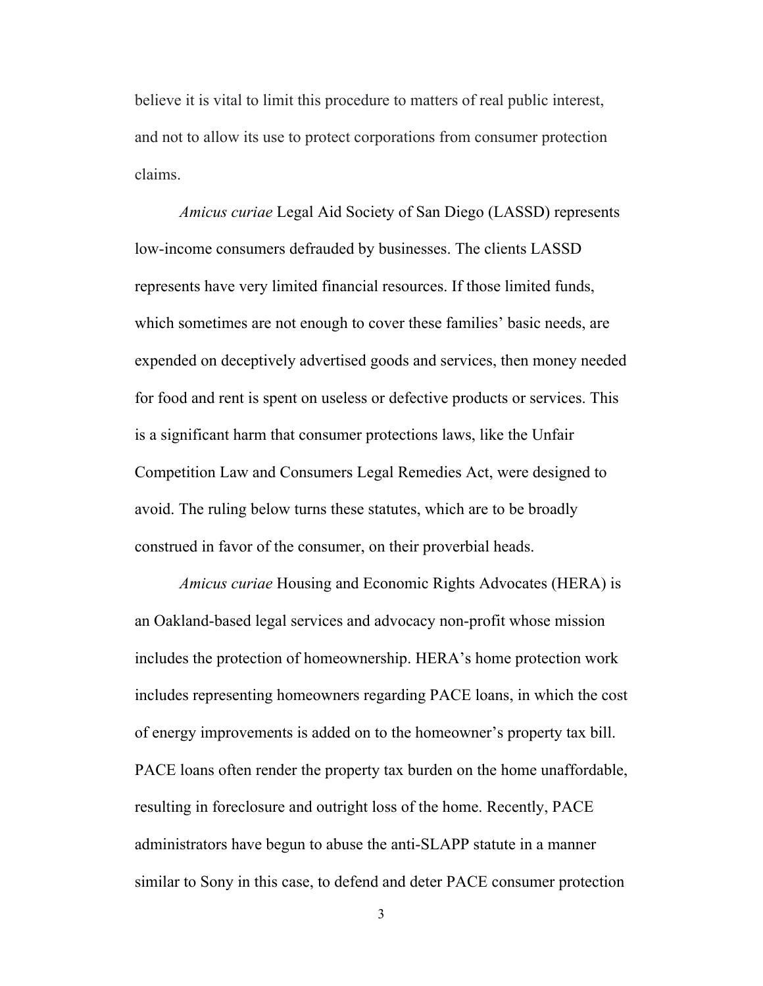believe it is vital to limit this procedure to matters of real public interest, and not to allow its use to protect corporations from consumer protection claims.

*Amicus curiae* Legal Aid Society of San Diego (LASSD) represents low-income consumers defrauded by businesses. The clients LASSD represents have very limited financial resources. If those limited funds, which sometimes are not enough to cover these families' basic needs, are expended on deceptively advertised goods and services, then money needed for food and rent is spent on useless or defective products or services. This is a significant harm that consumer protections laws, like the Unfair Competition Law and Consumers Legal Remedies Act, were designed to avoid. The ruling below turns these statutes, which are to be broadly construed in favor of the consumer, on their proverbial heads.

*Amicus curiae* Housing and Economic Rights Advocates (HERA) is an Oakland-based legal services and advocacy non-profit whose mission includes the protection of homeownership. HERA's home protection work includes representing homeowners regarding PACE loans, in which the cost of energy improvements is added on to the homeowner's property tax bill. PACE loans often render the property tax burden on the home unaffordable, resulting in foreclosure and outright loss of the home. Recently, PACE administrators have begun to abuse the anti-SLAPP statute in a manner similar to Sony in this case, to defend and deter PACE consumer protection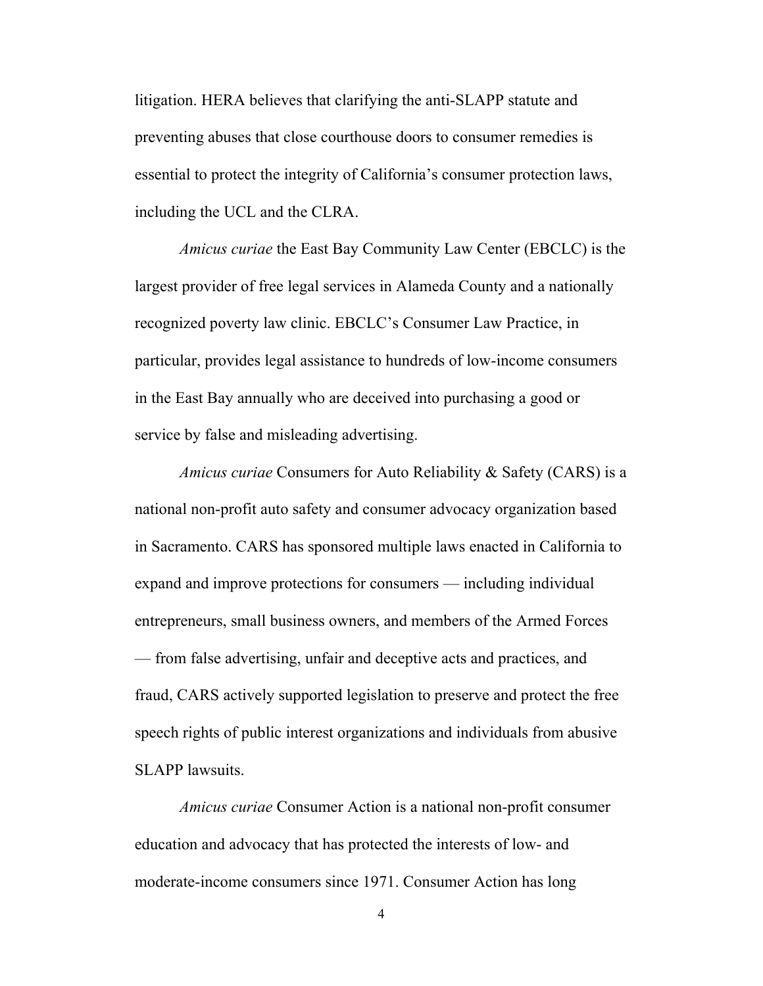litigation. HERA believes that clarifying the anti-SLAPP statute and preventing abuses that close courthouse doors to consumer remedies is essential to protect the integrity of California's consumer protection laws, including the UCL and the CLRA.

*Amicus curiae* the East Bay Community Law Center (EBCLC) is the largest provider of free legal services in Alameda County and a nationally recognized poverty law clinic. EBCLC's Consumer Law Practice, in particular, provides legal assistance to hundreds of low-income consumers in the East Bay annually who are deceived into purchasing a good or service by false and misleading advertising.

*Amicus curiae* Consumers for Auto Reliability & Safety (CARS) is a national non-profit auto safety and consumer advocacy organization based in Sacramento. CARS has sponsored multiple laws enacted in California to expand and improve protections for consumers — including individual entrepreneurs, small business owners, and members of the Armed Forces — from false advertising, unfair and deceptive acts and practices, and fraud, CARS actively supported legislation to preserve and protect the free speech rights of public interest organizations and individuals from abusive SLAPP lawsuits.

*Amicus curiae* Consumer Action is a national non-profit consumer education and advocacy that has protected the interests of low- and moderate-income consumers since 1971. Consumer Action has long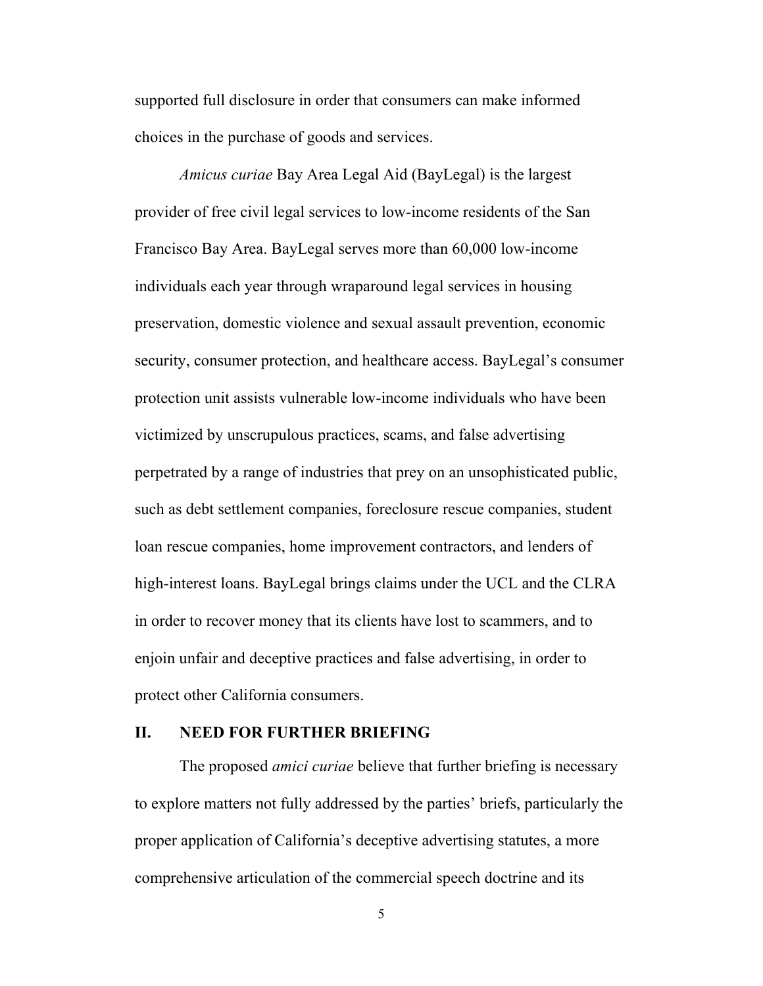supported full disclosure in order that consumers can make informed choices in the purchase of goods and services.

*Amicus curiae* Bay Area Legal Aid (BayLegal) is the largest provider of free civil legal services to low-income residents of the San Francisco Bay Area. BayLegal serves more than 60,000 low-income individuals each year through wraparound legal services in housing preservation, domestic violence and sexual assault prevention, economic security, consumer protection, and healthcare access. BayLegal's consumer protection unit assists vulnerable low-income individuals who have been victimized by unscrupulous practices, scams, and false advertising perpetrated by a range of industries that prey on an unsophisticated public, such as debt settlement companies, foreclosure rescue companies, student loan rescue companies, home improvement contractors, and lenders of high-interest loans. BayLegal brings claims under the UCL and the CLRA in order to recover money that its clients have lost to scammers, and to enjoin unfair and deceptive practices and false advertising, in order to protect other California consumers.

#### **II. NEED FOR FURTHER BRIEFING**

The proposed *amici curiae* believe that further briefing is necessary to explore matters not fully addressed by the parties' briefs, particularly the proper application of California's deceptive advertising statutes, a more comprehensive articulation of the commercial speech doctrine and its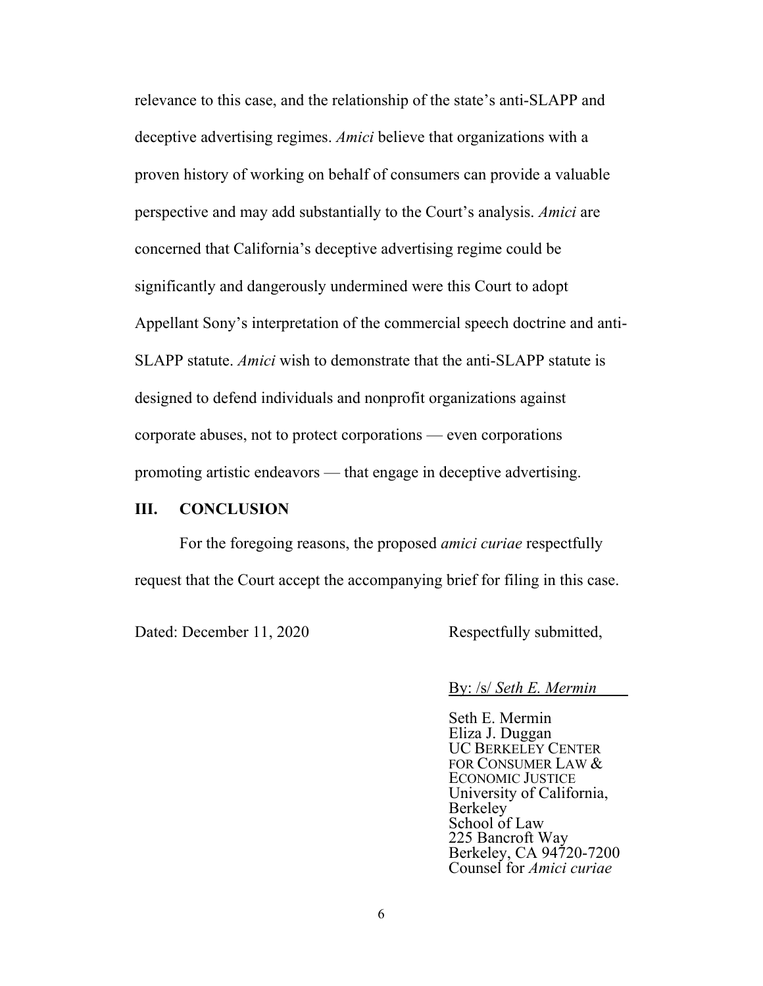relevance to this case, and the relationship of the state's anti-SLAPP and deceptive advertising regimes. *Amici* believe that organizations with a proven history of working on behalf of consumers can provide a valuable perspective and may add substantially to the Court's analysis. *Amici* are concerned that California's deceptive advertising regime could be significantly and dangerously undermined were this Court to adopt Appellant Sony's interpretation of the commercial speech doctrine and anti-SLAPP statute. *Amici* wish to demonstrate that the anti-SLAPP statute is designed to defend individuals and nonprofit organizations against corporate abuses, not to protect corporations — even corporations promoting artistic endeavors — that engage in deceptive advertising.

### **III. CONCLUSION**

For the foregoing reasons, the proposed *amici curiae* respectfully request that the Court accept the accompanying brief for filing in this case.

Dated: December 11, 2020 Respectfully submitted,

By: /s/ *Seth E. Mermin*

Seth E. Mermin Eliza J. Duggan UC BERKELEY CENTER FOR CONSUMER LAW & ECONOMIC JUSTICE University of California, Berkeley School of Law 225 Bancroft Way Berkeley, CA 94720-7200 Counsel for *Amici curiae*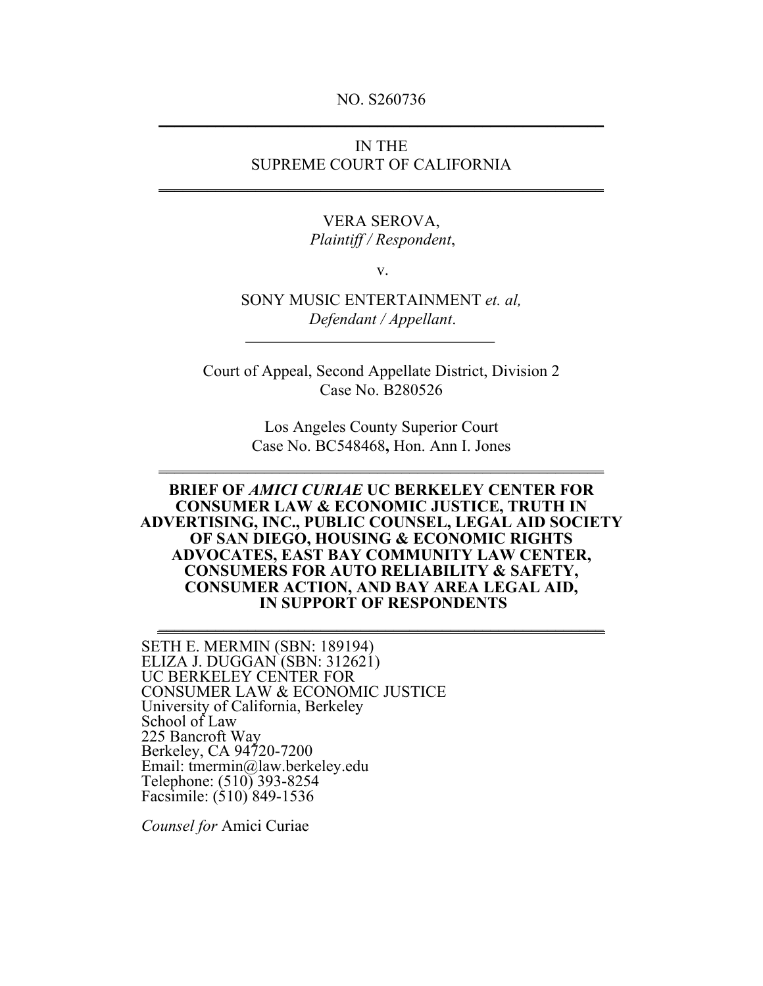#### NO. S260736  $\frac{1}{2}$  ,  $\frac{1}{2}$  ,  $\frac{1}{2}$  ,  $\frac{1}{2}$  ,  $\frac{1}{2}$  ,  $\frac{1}{2}$  ,  $\frac{1}{2}$  ,  $\frac{1}{2}$  ,  $\frac{1}{2}$  ,  $\frac{1}{2}$  ,  $\frac{1}{2}$  ,  $\frac{1}{2}$  ,  $\frac{1}{2}$  ,  $\frac{1}{2}$  ,  $\frac{1}{2}$  ,  $\frac{1}{2}$  ,  $\frac{1}{2}$  ,  $\frac{1}{2}$  ,  $\frac{1$

## IN THE SUPREME COURT OF CALIFORNIA

\_\_\_\_\_\_\_\_\_\_\_\_\_\_\_\_\_\_\_\_\_\_\_\_\_\_\_\_\_\_\_\_\_\_\_\_\_\_\_\_\_\_\_\_\_\_\_\_\_\_\_\_\_\_\_

# VERA SEROVA,

*Plaintiff / Respondent*,

v.

SONY MUSIC ENTERTAINMENT *et. al, Defendant / Appellant*.

Court of Appeal, Second Appellate District, Division 2 Case No. B280526

> Los Angeles County Superior Court Case No. BC548468**,** Hon. Ann I. Jones

\_\_\_\_\_\_\_\_\_\_\_\_\_\_\_\_\_\_\_\_\_\_\_\_\_\_\_\_\_\_\_\_\_\_\_\_\_\_\_\_\_\_\_\_\_\_\_\_\_\_\_\_\_\_\_

#### **BRIEF OF** *AMICI CURIAE* **UC BERKELEY CENTER FOR CONSUMER LAW & ECONOMIC JUSTICE, TRUTH IN ADVERTISING, INC., PUBLIC COUNSEL, LEGAL AID SOCIETY OF SAN DIEGO, HOUSING & ECONOMIC RIGHTS ADVOCATES, EAST BAY COMMUNITY LAW CENTER, CONSUMERS FOR AUTO RELIABILITY & SAFETY, CONSUMER ACTION, AND BAY AREA LEGAL AID, IN SUPPORT OF RESPONDENTS**

SETH E. MERMIN (SBN: 189194) ELIZA J. DUGGAN (SBN: 312621) UC BERKELEY CENTER FOR CONSUMER LAW & ECONOMIC JUSTICE University of California, Berkeley School of Law 225 Bancroft Way Berkeley, CA 94720-7200 Email: tmermin@law.berkeley.edu Telephone: (510) 393-8254 Facsimile: (510) 849-1536

*Counsel for* Amici Curiae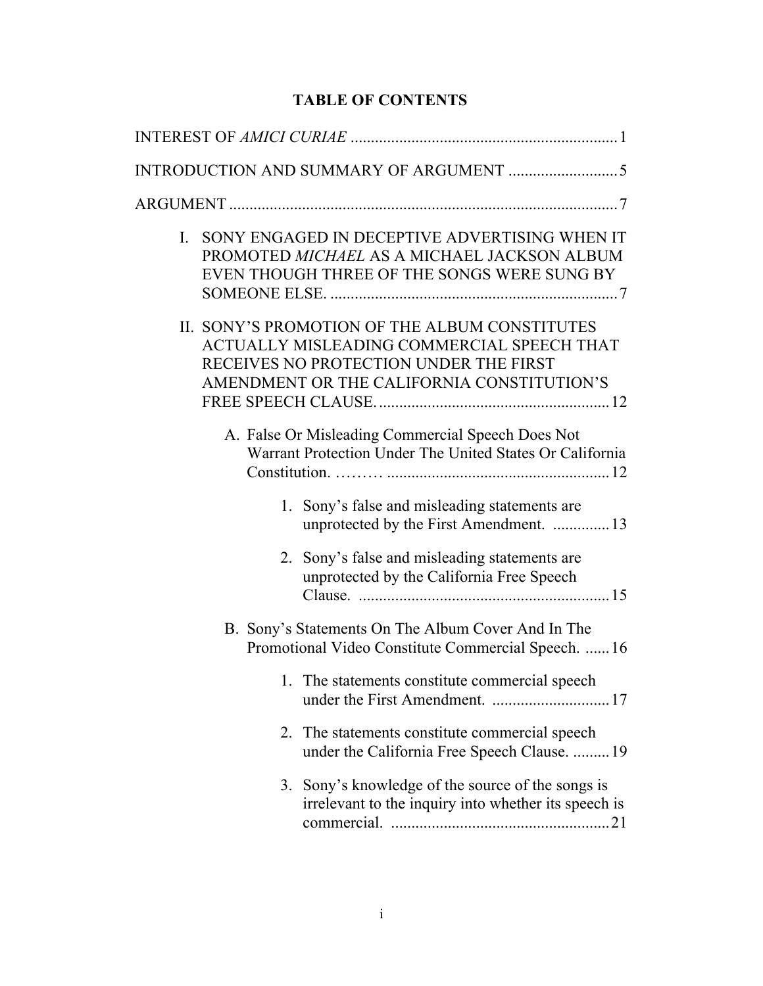# **TABLE OF CONTENTS**

| SONY ENGAGED IN DECEPTIVE ADVERTISING WHEN IT<br>I.<br>PROMOTED MICHAEL AS A MICHAEL JACKSON ALBUM<br>EVEN THOUGH THREE OF THE SONGS WERE SUNG BY                                   |  |  |  |  |  |
|-------------------------------------------------------------------------------------------------------------------------------------------------------------------------------------|--|--|--|--|--|
| II. SONY'S PROMOTION OF THE ALBUM CONSTITUTES<br>ACTUALLY MISLEADING COMMERCIAL SPEECH THAT<br>RECEIVES NO PROTECTION UNDER THE FIRST<br>AMENDMENT OR THE CALIFORNIA CONSTITUTION'S |  |  |  |  |  |
| A. False Or Misleading Commercial Speech Does Not<br>Warrant Protection Under The United States Or California                                                                       |  |  |  |  |  |
| 1. Sony's false and misleading statements are<br>unprotected by the First Amendment.  13                                                                                            |  |  |  |  |  |
| 2. Sony's false and misleading statements are<br>unprotected by the California Free Speech                                                                                          |  |  |  |  |  |
| B. Sony's Statements On The Album Cover And In The<br>Promotional Video Constitute Commercial Speech.  16                                                                           |  |  |  |  |  |
| 1. The statements constitute commercial speech<br>under the First Amendment.  17                                                                                                    |  |  |  |  |  |
| 2. The statements constitute commercial speech<br>under the California Free Speech Clause.  19                                                                                      |  |  |  |  |  |
| 3. Sony's knowledge of the source of the songs is<br>irrelevant to the inquiry into whether its speech is                                                                           |  |  |  |  |  |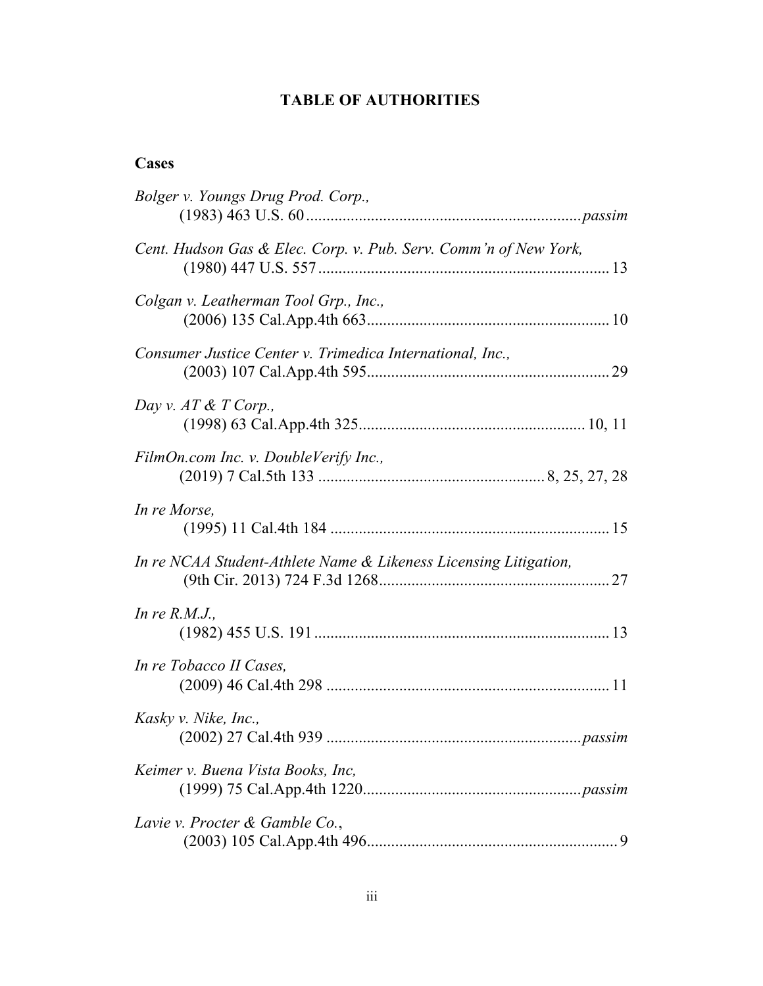## **TABLE OF AUTHORITIES**

## **Cases**

| Bolger v. Youngs Drug Prod. Corp.,                               |
|------------------------------------------------------------------|
| Cent. Hudson Gas & Elec. Corp. v. Pub. Serv. Comm'n of New York, |
| Colgan v. Leatherman Tool Grp., Inc.,                            |
| Consumer Justice Center v. Trimedica International, Inc.,        |
| Day v. $AT \& T$ Corp.,                                          |
| FilmOn.com Inc. v. DoubleVerify Inc.,                            |
| In re Morse,                                                     |
| In re NCAA Student-Athlete Name & Likeness Licensing Litigation, |
| In re $R.M.J.$ ,                                                 |
| In re Tobacco II Cases,                                          |
| Kasky v. Nike, Inc.,                                             |
| Keimer v. Buena Vista Books, Inc,                                |
| Lavie v. Procter & Gamble Co.,                                   |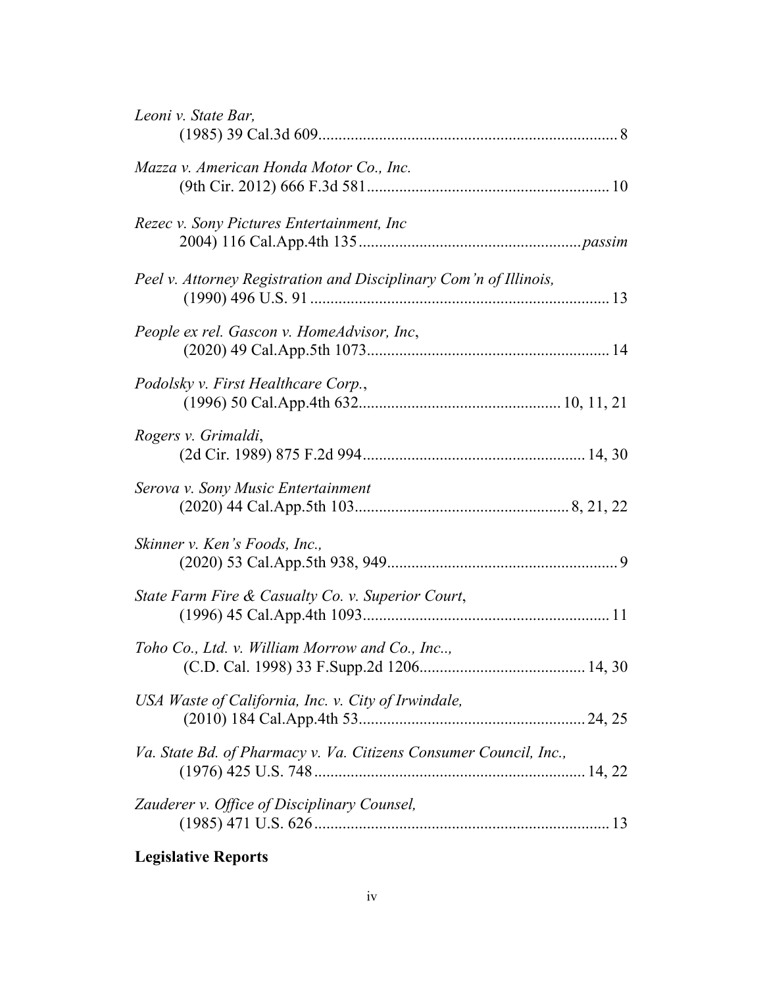| Leoni v. State Bar,                                               |
|-------------------------------------------------------------------|
| Mazza v. American Honda Motor Co., Inc.                           |
| Rezec v. Sony Pictures Entertainment, Inc.                        |
| Peel v. Attorney Registration and Disciplinary Com'n of Illinois, |
| People ex rel. Gascon v. HomeAdvisor, Inc,                        |
| Podolsky v. First Healthcare Corp.,                               |
| Rogers v. Grimaldi,                                               |
| Serova v. Sony Music Entertainment                                |
| Skinner v. Ken's Foods, Inc.,                                     |
| State Farm Fire & Casualty Co. v. Superior Court,                 |
| Toho Co., Ltd. v. William Morrow and Co., Inc,                    |
| USA Waste of California, Inc. v. City of Irwindale,               |
| Va. State Bd. of Pharmacy v. Va. Citizens Consumer Council, Inc., |
| Zauderer v. Office of Disciplinary Counsel,                       |
|                                                                   |

# **Legislative Reports**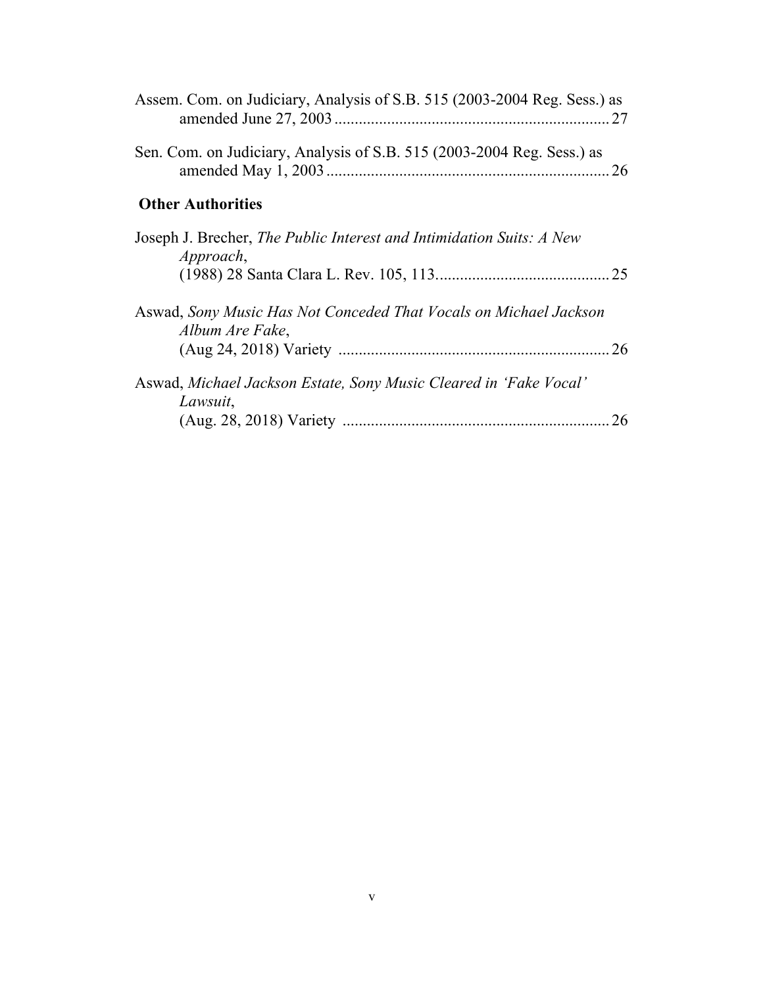| Assem. Com. on Judiciary, Analysis of S.B. 515 (2003-2004 Reg. Sess.) as             | 27        |
|--------------------------------------------------------------------------------------|-----------|
| Sen. Com. on Judiciary, Analysis of S.B. 515 (2003-2004 Reg. Sess.) as               |           |
| <b>Other Authorities</b>                                                             |           |
| Joseph J. Brecher, The Public Interest and Intimidation Suits: A New<br>Approach,    |           |
| Aswad, Sony Music Has Not Conceded That Vocals on Michael Jackson<br>Album Are Fake, | <b>26</b> |
| Aswad, Michael Jackson Estate, Sony Music Cleared in 'Fake Vocal'<br>Lawsuit,        | 26        |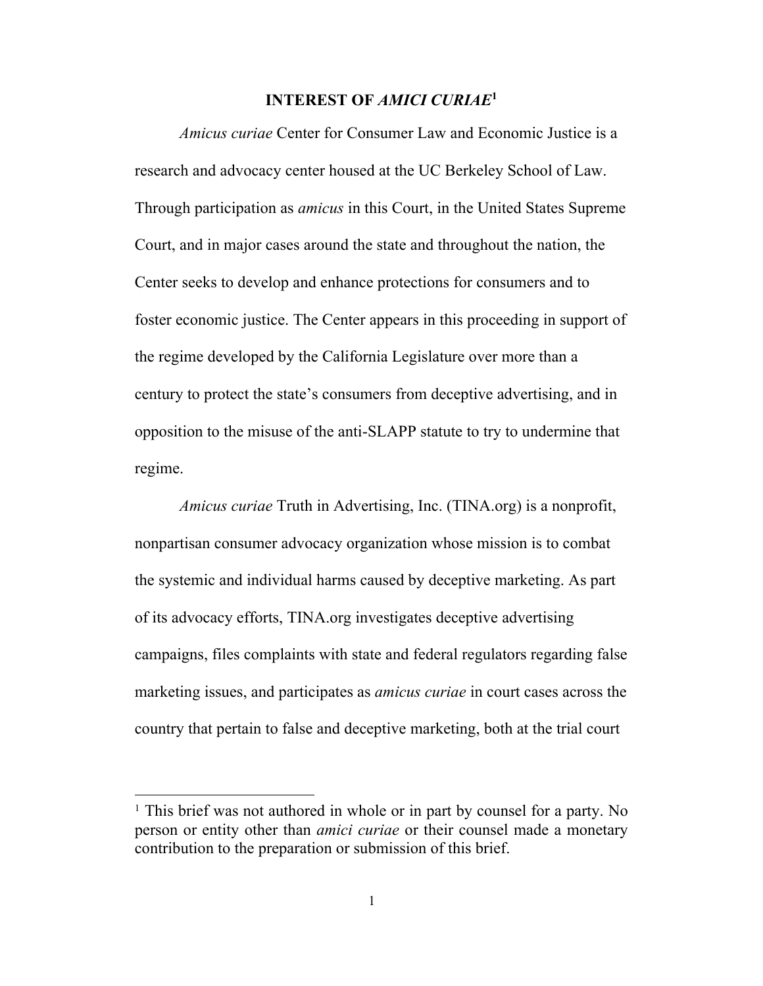#### **INTEREST OF** *AMICI CURIAE***<sup>1</sup>**

*Amicus curiae* Center for Consumer Law and Economic Justice is a research and advocacy center housed at the UC Berkeley School of Law. Through participation as *amicus* in this Court, in the United States Supreme Court, and in major cases around the state and throughout the nation, the Center seeks to develop and enhance protections for consumers and to foster economic justice. The Center appears in this proceeding in support of the regime developed by the California Legislature over more than a century to protect the state's consumers from deceptive advertising, and in opposition to the misuse of the anti-SLAPP statute to try to undermine that regime.

*Amicus curiae* Truth in Advertising, Inc. (TINA.org) is a nonprofit, nonpartisan consumer advocacy organization whose mission is to combat the systemic and individual harms caused by deceptive marketing. As part of its advocacy efforts, TINA.org investigates deceptive advertising campaigns, files complaints with state and federal regulators regarding false marketing issues, and participates as *amicus curiae* in court cases across the country that pertain to false and deceptive marketing, both at the trial court

<sup>&</sup>lt;sup>1</sup> This brief was not authored in whole or in part by counsel for a party. No person or entity other than *amici curiae* or their counsel made a monetary contribution to the preparation or submission of this brief.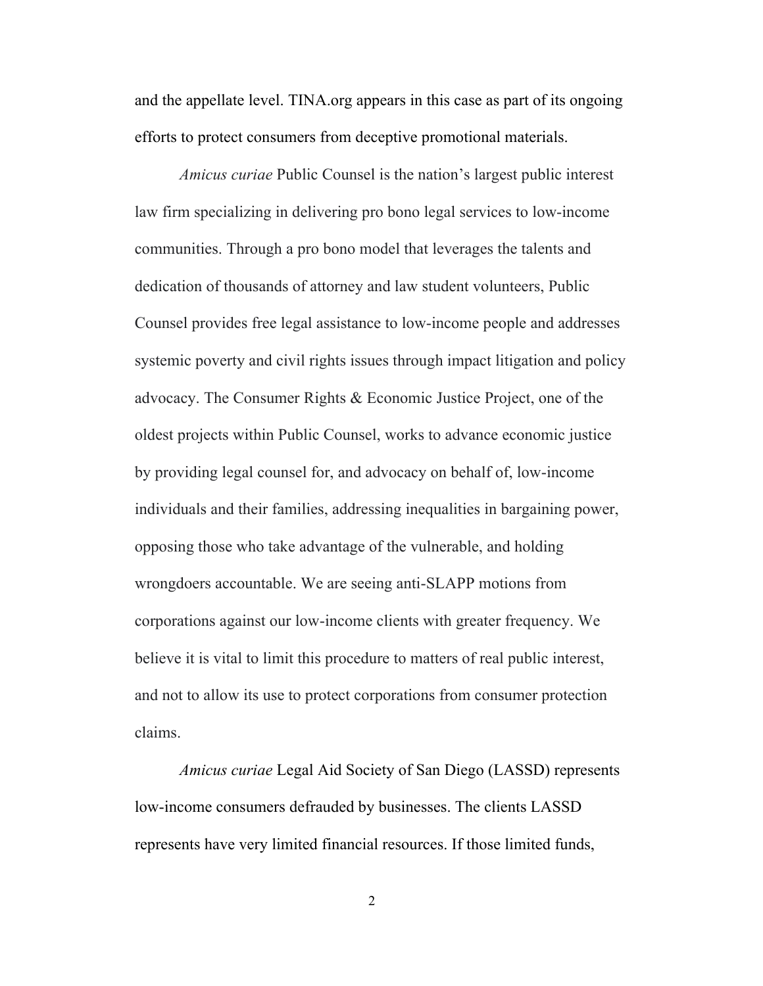and the appellate level. TINA.org appears in this case as part of its ongoing efforts to protect consumers from deceptive promotional materials.

*Amicus curiae* Public Counsel is the nation's largest public interest law firm specializing in delivering pro bono legal services to low-income communities. Through a pro bono model that leverages the talents and dedication of thousands of attorney and law student volunteers, Public Counsel provides free legal assistance to low-income people and addresses systemic poverty and civil rights issues through impact litigation and policy advocacy. The Consumer Rights & Economic Justice Project, one of the oldest projects within Public Counsel, works to advance economic justice by providing legal counsel for, and advocacy on behalf of, low-income individuals and their families, addressing inequalities in bargaining power, opposing those who take advantage of the vulnerable, and holding wrongdoers accountable. We are seeing anti-SLAPP motions from corporations against our low-income clients with greater frequency. We believe it is vital to limit this procedure to matters of real public interest, and not to allow its use to protect corporations from consumer protection claims.

*Amicus curiae* Legal Aid Society of San Diego (LASSD) represents low-income consumers defrauded by businesses. The clients LASSD represents have very limited financial resources. If those limited funds,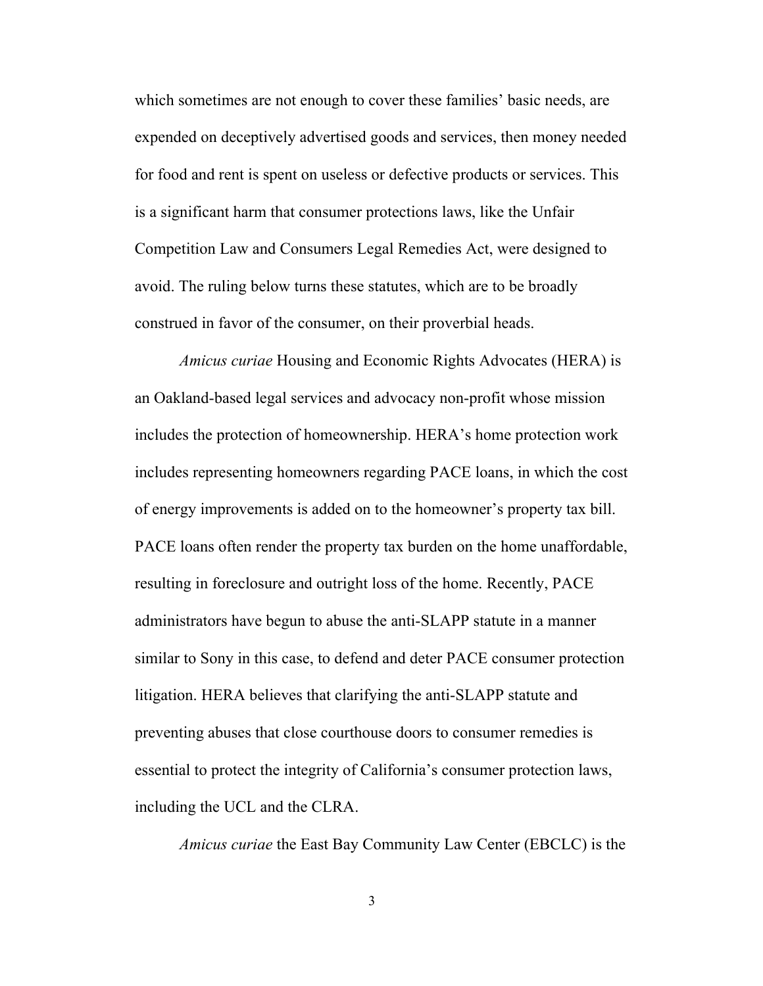which sometimes are not enough to cover these families' basic needs, are expended on deceptively advertised goods and services, then money needed for food and rent is spent on useless or defective products or services. This is a significant harm that consumer protections laws, like the Unfair Competition Law and Consumers Legal Remedies Act, were designed to avoid. The ruling below turns these statutes, which are to be broadly construed in favor of the consumer, on their proverbial heads.

*Amicus curiae* Housing and Economic Rights Advocates (HERA) is an Oakland-based legal services and advocacy non-profit whose mission includes the protection of homeownership. HERA's home protection work includes representing homeowners regarding PACE loans, in which the cost of energy improvements is added on to the homeowner's property tax bill. PACE loans often render the property tax burden on the home unaffordable, resulting in foreclosure and outright loss of the home. Recently, PACE administrators have begun to abuse the anti-SLAPP statute in a manner similar to Sony in this case, to defend and deter PACE consumer protection litigation. HERA believes that clarifying the anti-SLAPP statute and preventing abuses that close courthouse doors to consumer remedies is essential to protect the integrity of California's consumer protection laws, including the UCL and the CLRA.

*Amicus curiae* the East Bay Community Law Center (EBCLC) is the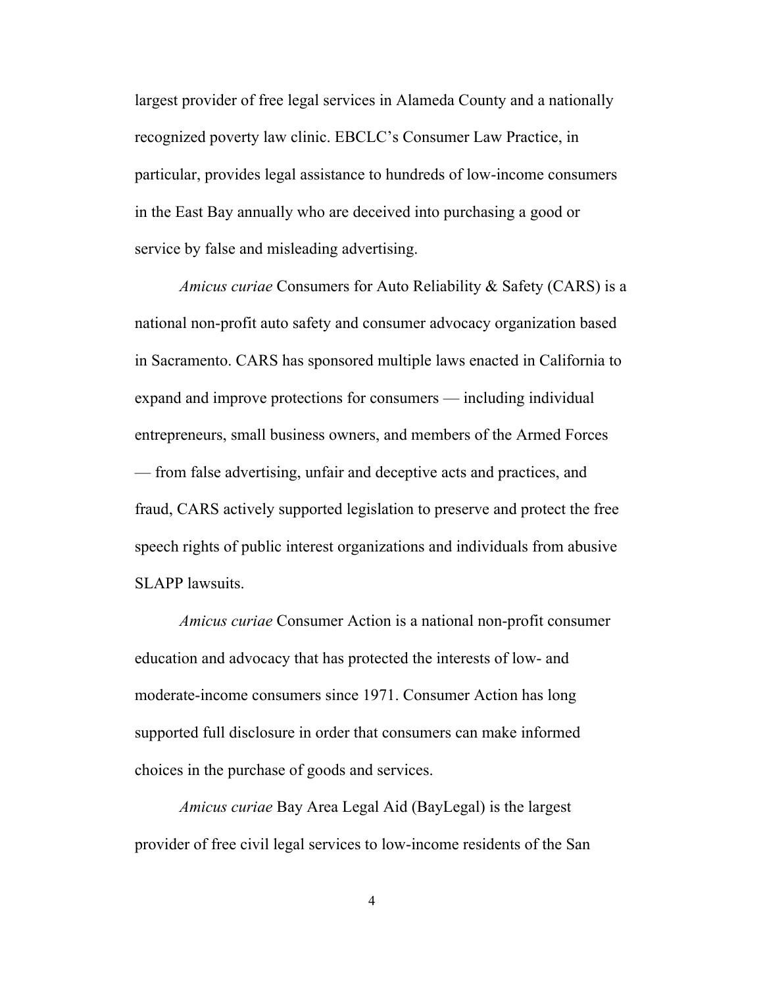largest provider of free legal services in Alameda County and a nationally recognized poverty law clinic. EBCLC's Consumer Law Practice, in particular, provides legal assistance to hundreds of low-income consumers in the East Bay annually who are deceived into purchasing a good or service by false and misleading advertising.

*Amicus curiae* Consumers for Auto Reliability & Safety (CARS) is a national non-profit auto safety and consumer advocacy organization based in Sacramento. CARS has sponsored multiple laws enacted in California to expand and improve protections for consumers — including individual entrepreneurs, small business owners, and members of the Armed Forces — from false advertising, unfair and deceptive acts and practices, and fraud, CARS actively supported legislation to preserve and protect the free speech rights of public interest organizations and individuals from abusive SLAPP lawsuits.

*Amicus curiae* Consumer Action is a national non-profit consumer education and advocacy that has protected the interests of low- and moderate-income consumers since 1971. Consumer Action has long supported full disclosure in order that consumers can make informed choices in the purchase of goods and services.

*Amicus curiae* Bay Area Legal Aid (BayLegal) is the largest provider of free civil legal services to low-income residents of the San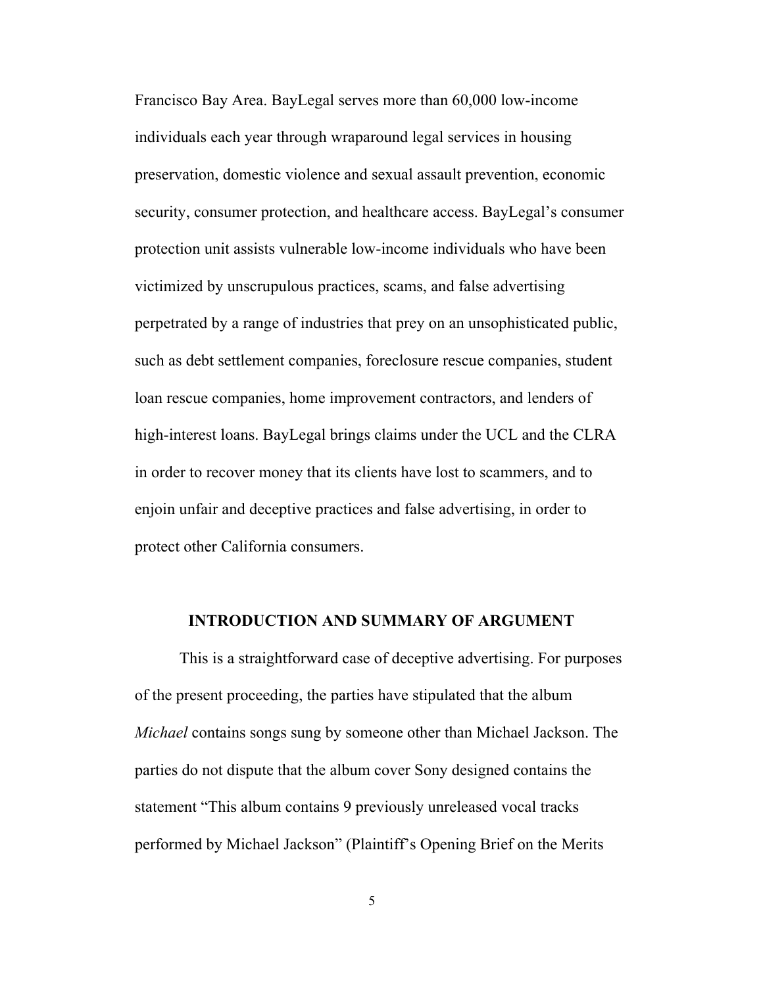Francisco Bay Area. BayLegal serves more than 60,000 low-income individuals each year through wraparound legal services in housing preservation, domestic violence and sexual assault prevention, economic security, consumer protection, and healthcare access. BayLegal's consumer protection unit assists vulnerable low-income individuals who have been victimized by unscrupulous practices, scams, and false advertising perpetrated by a range of industries that prey on an unsophisticated public, such as debt settlement companies, foreclosure rescue companies, student loan rescue companies, home improvement contractors, and lenders of high-interest loans. BayLegal brings claims under the UCL and the CLRA in order to recover money that its clients have lost to scammers, and to enjoin unfair and deceptive practices and false advertising, in order to protect other California consumers.

#### **INTRODUCTION AND SUMMARY OF ARGUMENT**

This is a straightforward case of deceptive advertising. For purposes of the present proceeding, the parties have stipulated that the album *Michael* contains songs sung by someone other than Michael Jackson. The parties do not dispute that the album cover Sony designed contains the statement "This album contains 9 previously unreleased vocal tracks performed by Michael Jackson" (Plaintiff's Opening Brief on the Merits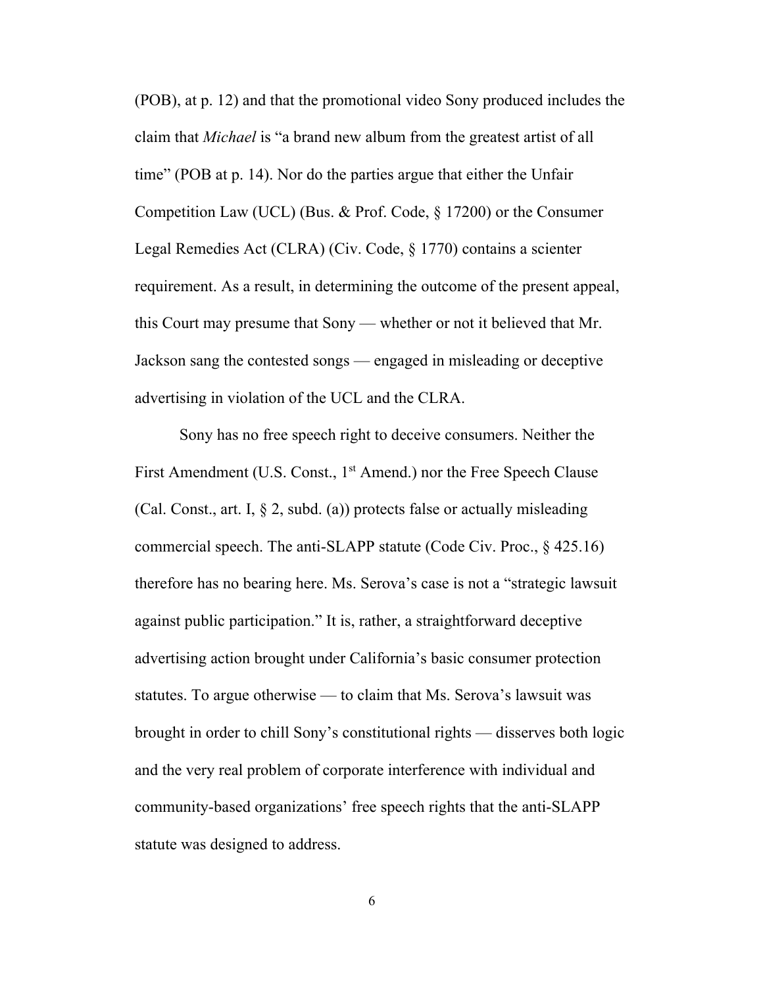(POB), at p. 12) and that the promotional video Sony produced includes the claim that *Michael* is "a brand new album from the greatest artist of all time" (POB at p. 14). Nor do the parties argue that either the Unfair Competition Law (UCL) (Bus. & Prof. Code, § 17200) or the Consumer Legal Remedies Act (CLRA) (Civ. Code, § 1770) contains a scienter requirement. As a result, in determining the outcome of the present appeal, this Court may presume that Sony — whether or not it believed that Mr. Jackson sang the contested songs — engaged in misleading or deceptive advertising in violation of the UCL and the CLRA.

Sony has no free speech right to deceive consumers. Neither the First Amendment (U.S. Const., 1<sup>st</sup> Amend.) nor the Free Speech Clause (Cal. Const., art. I,  $\S$  2, subd. (a)) protects false or actually misleading commercial speech. The anti-SLAPP statute (Code Civ. Proc., § 425.16) therefore has no bearing here. Ms. Serova's case is not a "strategic lawsuit against public participation." It is, rather, a straightforward deceptive advertising action brought under California's basic consumer protection statutes. To argue otherwise — to claim that Ms. Serova's lawsuit was brought in order to chill Sony's constitutional rights — disserves both logic and the very real problem of corporate interference with individual and community-based organizations' free speech rights that the anti-SLAPP statute was designed to address.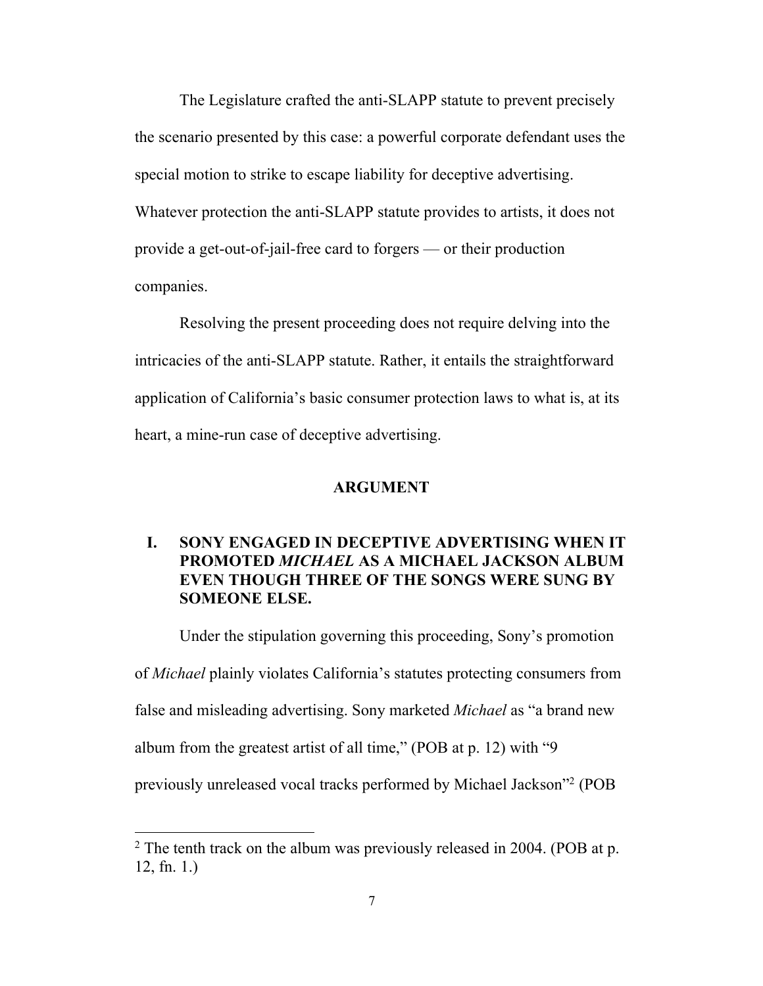The Legislature crafted the anti-SLAPP statute to prevent precisely the scenario presented by this case: a powerful corporate defendant uses the special motion to strike to escape liability for deceptive advertising. Whatever protection the anti-SLAPP statute provides to artists, it does not provide a get-out-of-jail-free card to forgers — or their production companies.

Resolving the present proceeding does not require delving into the intricacies of the anti-SLAPP statute. Rather, it entails the straightforward application of California's basic consumer protection laws to what is, at its heart, a mine-run case of deceptive advertising.

#### **ARGUMENT**

## **I. SONY ENGAGED IN DECEPTIVE ADVERTISING WHEN IT PROMOTED** *MICHAEL* **AS A MICHAEL JACKSON ALBUM EVEN THOUGH THREE OF THE SONGS WERE SUNG BY SOMEONE ELSE.**

Under the stipulation governing this proceeding, Sony's promotion of *Michael* plainly violates California's statutes protecting consumers from false and misleading advertising. Sony marketed *Michael* as "a brand new album from the greatest artist of all time," (POB at p. 12) with "9 previously unreleased vocal tracks performed by Michael Jackson"2 (POB

 $2$  The tenth track on the album was previously released in 2004. (POB at p. 12, fn. 1.)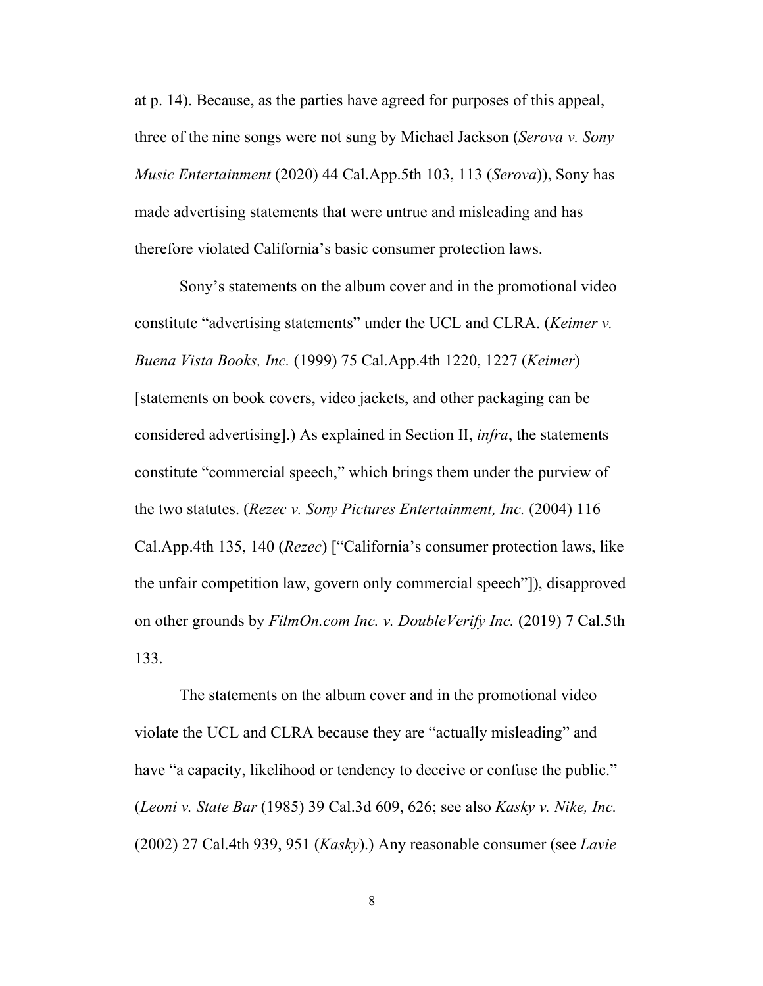at p. 14). Because, as the parties have agreed for purposes of this appeal, three of the nine songs were not sung by Michael Jackson (*Serova v. Sony Music Entertainment* (2020) 44 Cal.App.5th 103, 113 (*Serova*)), Sony has made advertising statements that were untrue and misleading and has therefore violated California's basic consumer protection laws.

Sony's statements on the album cover and in the promotional video constitute "advertising statements" under the UCL and CLRA. (*Keimer v. Buena Vista Books, Inc.* (1999) 75 Cal.App.4th 1220, 1227 (*Keimer*) [statements on book covers, video jackets, and other packaging can be considered advertising].) As explained in Section II, *infra*, the statements constitute "commercial speech," which brings them under the purview of the two statutes. (*Rezec v. Sony Pictures Entertainment, Inc.* (2004) 116 Cal.App.4th 135, 140 (*Rezec*) ["California's consumer protection laws, like the unfair competition law, govern only commercial speech"]), disapproved on other grounds by *FilmOn.com Inc. v. DoubleVerify Inc.* (2019) 7 Cal.5th 133.

The statements on the album cover and in the promotional video violate the UCL and CLRA because they are "actually misleading" and have "a capacity, likelihood or tendency to deceive or confuse the public." (*Leoni v. State Bar* (1985) 39 Cal.3d 609, 626; see also *Kasky v. Nike, Inc.* (2002) 27 Cal.4th 939, 951 (*Kasky*).) Any reasonable consumer (see *Lavie*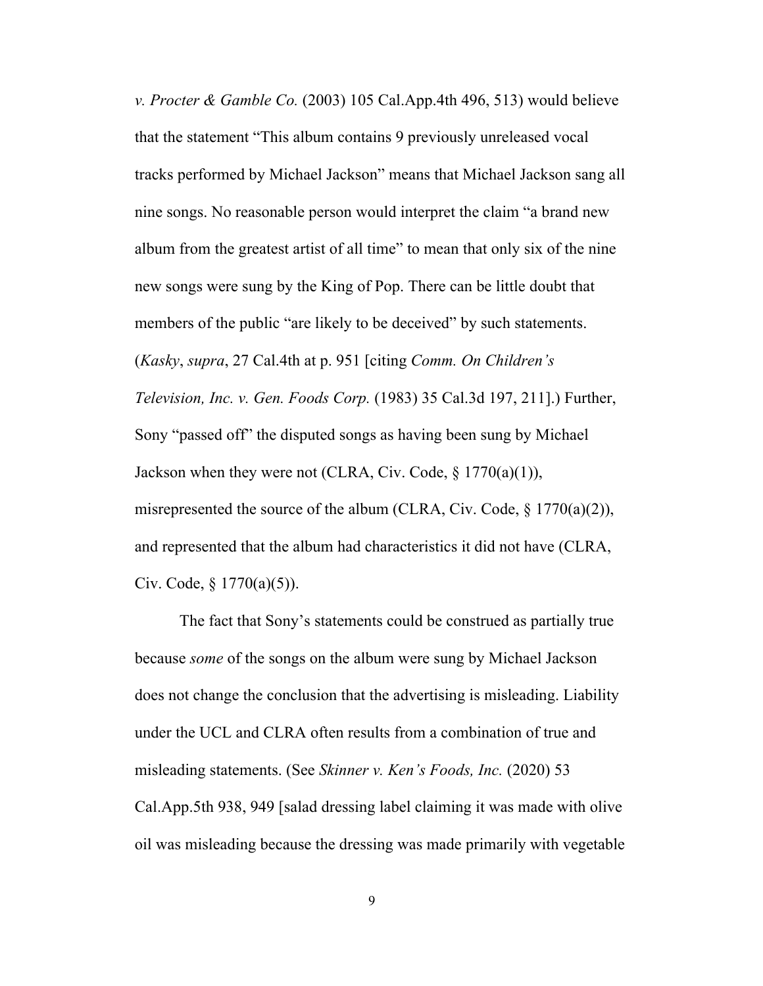*v. Procter & Gamble Co.* (2003) 105 Cal.App.4th 496, 513) would believe that the statement "This album contains 9 previously unreleased vocal tracks performed by Michael Jackson" means that Michael Jackson sang all nine songs. No reasonable person would interpret the claim "a brand new album from the greatest artist of all time" to mean that only six of the nine new songs were sung by the King of Pop. There can be little doubt that members of the public "are likely to be deceived" by such statements. (*Kasky*, *supra*, 27 Cal.4th at p. 951 [citing *Comm. On Children's Television, Inc. v. Gen. Foods Corp.* (1983) 35 Cal.3d 197, 211].) Further, Sony "passed off" the disputed songs as having been sung by Michael Jackson when they were not (CLRA, Civ. Code, § 1770(a)(1)), misrepresented the source of the album (CLRA, Civ. Code,  $\S$  1770(a)(2)), and represented that the album had characteristics it did not have (CLRA, Civ. Code,  $\S 1770(a)(5)$ ).

The fact that Sony's statements could be construed as partially true because *some* of the songs on the album were sung by Michael Jackson does not change the conclusion that the advertising is misleading. Liability under the UCL and CLRA often results from a combination of true and misleading statements. (See *Skinner v. Ken's Foods, Inc.* (2020) 53 Cal.App.5th 938, 949 [salad dressing label claiming it was made with olive oil was misleading because the dressing was made primarily with vegetable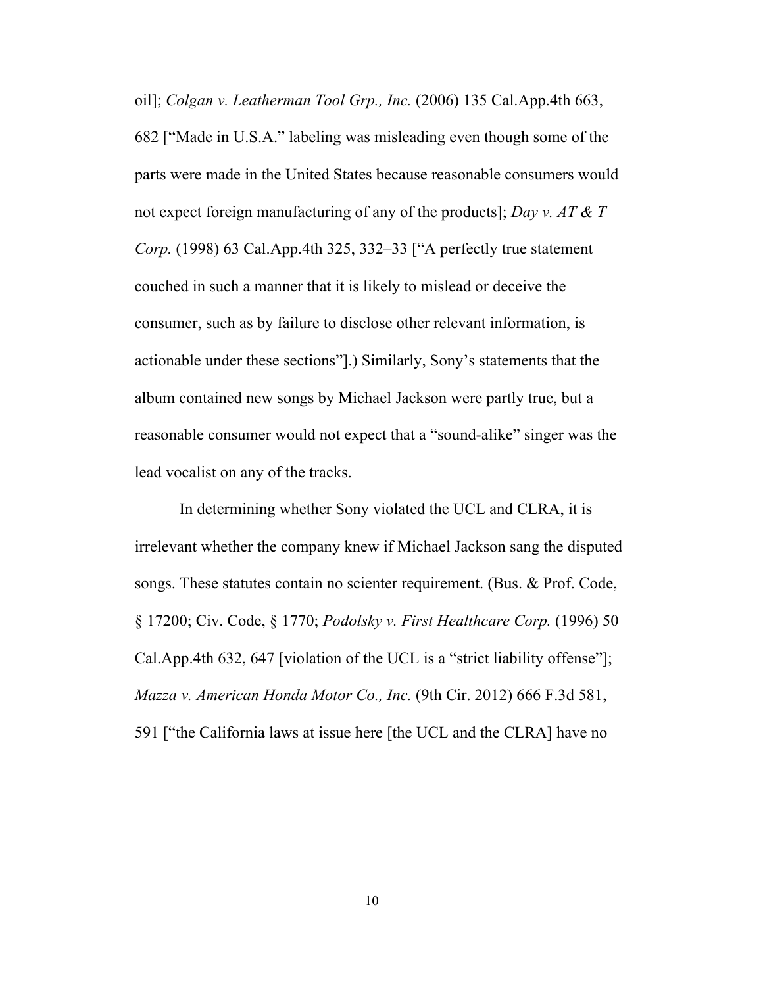oil]; *Colgan v. Leatherman Tool Grp., Inc.* (2006) 135 Cal.App.4th 663, 682 ["Made in U.S.A." labeling was misleading even though some of the parts were made in the United States because reasonable consumers would not expect foreign manufacturing of any of the products]; *Day v. AT & T Corp.* (1998) 63 Cal.App.4th 325, 332–33 ["A perfectly true statement couched in such a manner that it is likely to mislead or deceive the consumer, such as by failure to disclose other relevant information, is actionable under these sections"].) Similarly, Sony's statements that the album contained new songs by Michael Jackson were partly true, but a reasonable consumer would not expect that a "sound-alike" singer was the lead vocalist on any of the tracks.

In determining whether Sony violated the UCL and CLRA, it is irrelevant whether the company knew if Michael Jackson sang the disputed songs. These statutes contain no scienter requirement. (Bus. & Prof. Code, § 17200; Civ. Code, § 1770; *Podolsky v. First Healthcare Corp.* (1996) 50 Cal.App.4th 632, 647 [violation of the UCL is a "strict liability offense"]; *Mazza v. American Honda Motor Co., Inc.* (9th Cir. 2012) 666 F.3d 581, 591 ["the California laws at issue here [the UCL and the CLRA] have no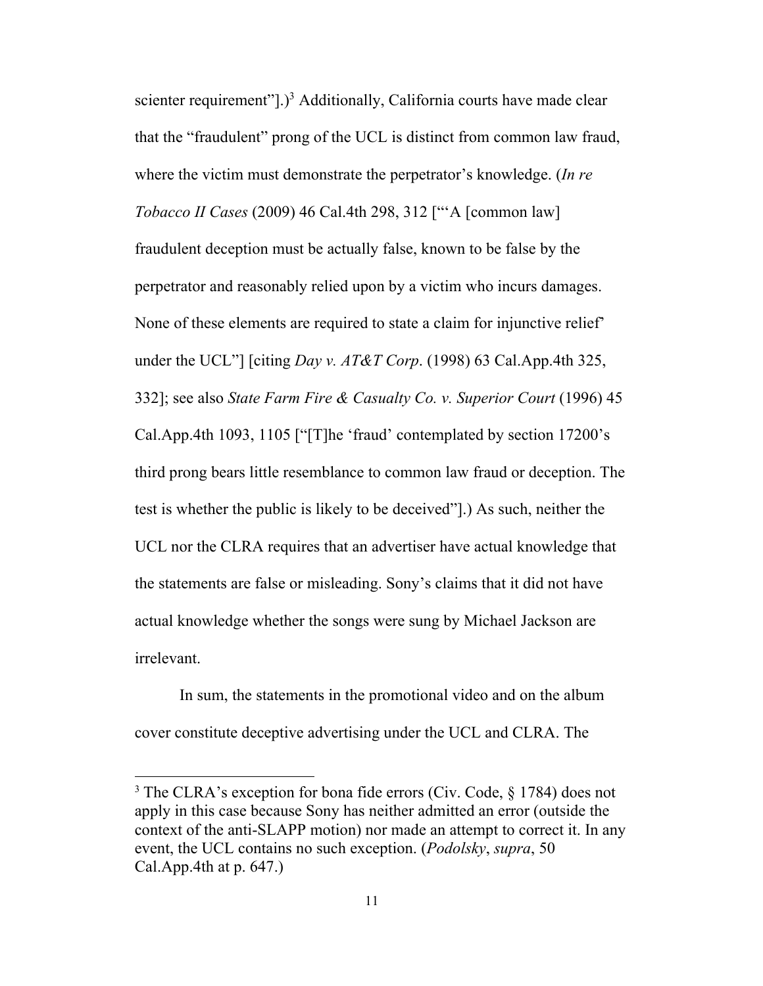scienter requirement"].)<sup>3</sup> Additionally, California courts have made clear that the "fraudulent" prong of the UCL is distinct from common law fraud, where the victim must demonstrate the perpetrator's knowledge. (*In re Tobacco II Cases* (2009) 46 Cal.4th 298, 312 ["'A [common law] fraudulent deception must be actually false, known to be false by the perpetrator and reasonably relied upon by a victim who incurs damages. None of these elements are required to state a claim for injunctive relief' under the UCL"] [citing *Day v. AT&T Corp*. (1998) 63 Cal.App.4th 325, 332]; see also *State Farm Fire & Casualty Co. v. Superior Court* (1996) 45 Cal.App.4th 1093, 1105 ["[T]he 'fraud' contemplated by section 17200's third prong bears little resemblance to common law fraud or deception. The test is whether the public is likely to be deceived"].) As such, neither the UCL nor the CLRA requires that an advertiser have actual knowledge that the statements are false or misleading. Sony's claims that it did not have actual knowledge whether the songs were sung by Michael Jackson are irrelevant.

In sum, the statements in the promotional video and on the album cover constitute deceptive advertising under the UCL and CLRA. The

<sup>3</sup> The CLRA's exception for bona fide errors (Civ. Code, § 1784) does not apply in this case because Sony has neither admitted an error (outside the context of the anti-SLAPP motion) nor made an attempt to correct it. In any event, the UCL contains no such exception. (*Podolsky*, *supra*, 50 Cal.App.4th at  $p. 647$ .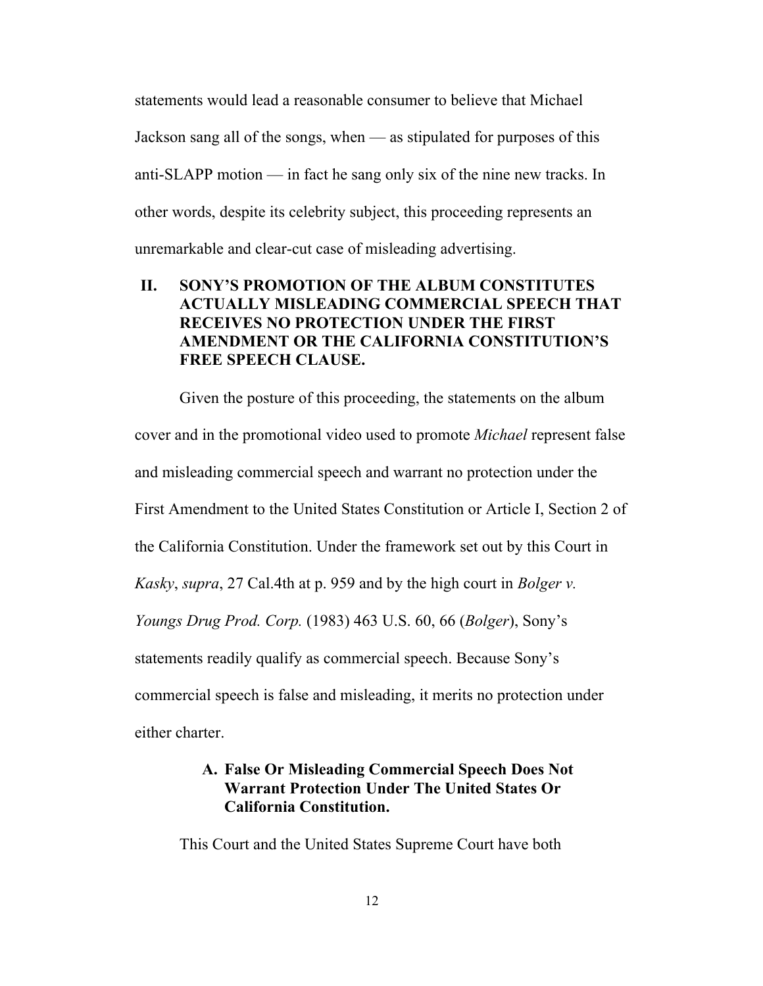statements would lead a reasonable consumer to believe that Michael Jackson sang all of the songs, when — as stipulated for purposes of this anti-SLAPP motion — in fact he sang only six of the nine new tracks. In other words, despite its celebrity subject, this proceeding represents an unremarkable and clear-cut case of misleading advertising.

## **II. SONY'S PROMOTION OF THE ALBUM CONSTITUTES ACTUALLY MISLEADING COMMERCIAL SPEECH THAT RECEIVES NO PROTECTION UNDER THE FIRST AMENDMENT OR THE CALIFORNIA CONSTITUTION'S FREE SPEECH CLAUSE.**

Given the posture of this proceeding, the statements on the album cover and in the promotional video used to promote *Michael* represent false and misleading commercial speech and warrant no protection under the First Amendment to the United States Constitution or Article I, Section 2 of the California Constitution. Under the framework set out by this Court in *Kasky*, *supra*, 27 Cal.4th at p. 959 and by the high court in *Bolger v. Youngs Drug Prod. Corp.* (1983) 463 U.S. 60, 66 (*Bolger*), Sony's statements readily qualify as commercial speech. Because Sony's commercial speech is false and misleading, it merits no protection under either charter.

## **A. False Or Misleading Commercial Speech Does Not Warrant Protection Under The United States Or California Constitution.**

This Court and the United States Supreme Court have both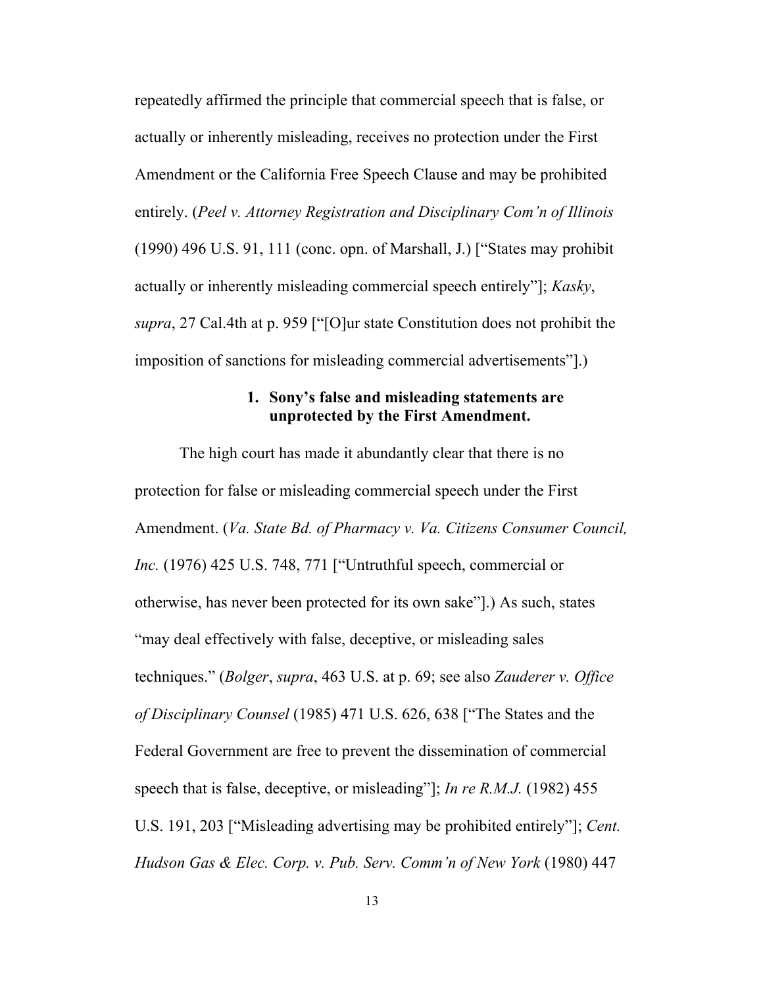repeatedly affirmed the principle that commercial speech that is false, or actually or inherently misleading, receives no protection under the First Amendment or the California Free Speech Clause and may be prohibited entirely. (*Peel v. Attorney Registration and Disciplinary Com'n of Illinois* (1990) 496 U.S. 91, 111 (conc. opn. of Marshall, J.) ["States may prohibit actually or inherently misleading commercial speech entirely"]; *Kasky*, *supra*, 27 Cal.4th at p. 959 ["[O]ur state Constitution does not prohibit the imposition of sanctions for misleading commercial advertisements"].)

### **1. Sony's false and misleading statements are unprotected by the First Amendment.**

The high court has made it abundantly clear that there is no protection for false or misleading commercial speech under the First Amendment. (*Va. State Bd. of Pharmacy v. Va. Citizens Consumer Council, Inc.* (1976) 425 U.S. 748, 771 ["Untruthful speech, commercial or otherwise, has never been protected for its own sake"].) As such, states "may deal effectively with false, deceptive, or misleading sales techniques." (*Bolger*, *supra*, 463 U.S. at p. 69; see also *Zauderer v. Office of Disciplinary Counsel* (1985) 471 U.S. 626, 638 ["The States and the Federal Government are free to prevent the dissemination of commercial speech that is false, deceptive, or misleading"]; *In re R.M.J.* (1982) 455 U.S. 191, 203 ["Misleading advertising may be prohibited entirely"]; *Cent. Hudson Gas & Elec. Corp. v. Pub. Serv. Comm'n of New York* (1980) 447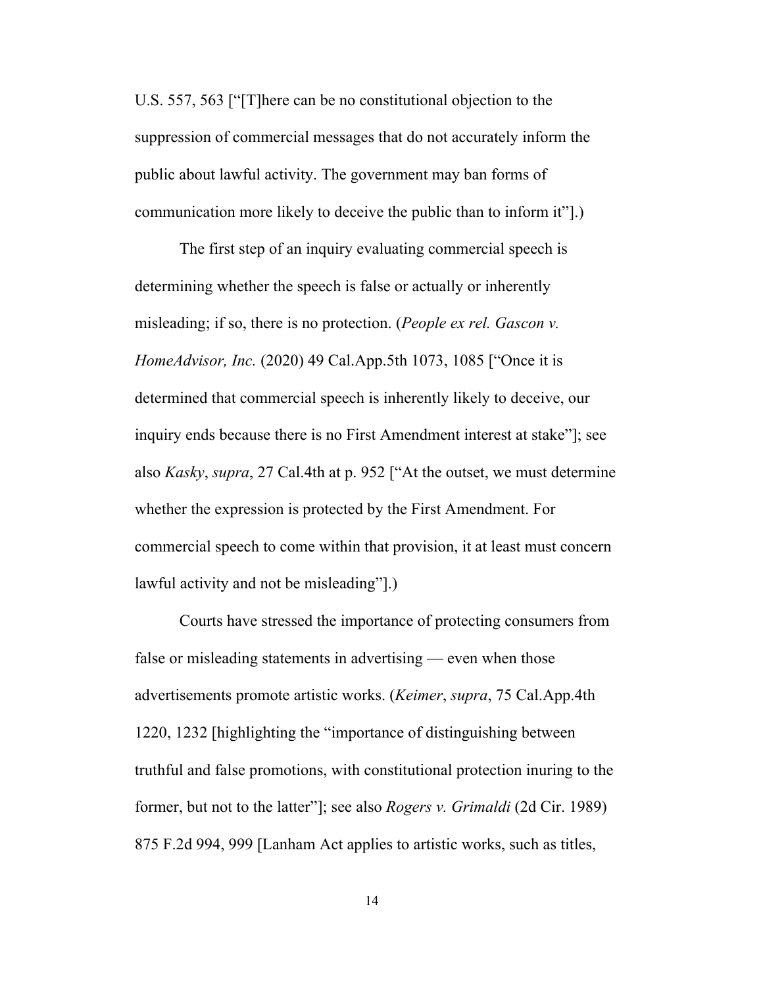U.S. 557, 563 ["[T]here can be no constitutional objection to the suppression of commercial messages that do not accurately inform the public about lawful activity. The government may ban forms of communication more likely to deceive the public than to inform it"].)

The first step of an inquiry evaluating commercial speech is determining whether the speech is false or actually or inherently misleading; if so, there is no protection. (*People ex rel. Gascon v. HomeAdvisor, Inc.* (2020) 49 Cal.App.5th 1073, 1085 ["Once it is determined that commercial speech is inherently likely to deceive, our inquiry ends because there is no First Amendment interest at stake"]; see also *Kasky*, *supra*, 27 Cal.4th at p. 952 ["At the outset, we must determine whether the expression is protected by the First Amendment. For commercial speech to come within that provision, it at least must concern lawful activity and not be misleading"].)

Courts have stressed the importance of protecting consumers from false or misleading statements in advertising — even when those advertisements promote artistic works. (*Keimer*, *supra*, 75 Cal.App.4th 1220, 1232 [highlighting the "importance of distinguishing between truthful and false promotions, with constitutional protection inuring to the former, but not to the latter"]; see also *Rogers v. Grimaldi* (2d Cir. 1989) 875 F.2d 994, 999 [Lanham Act applies to artistic works, such as titles,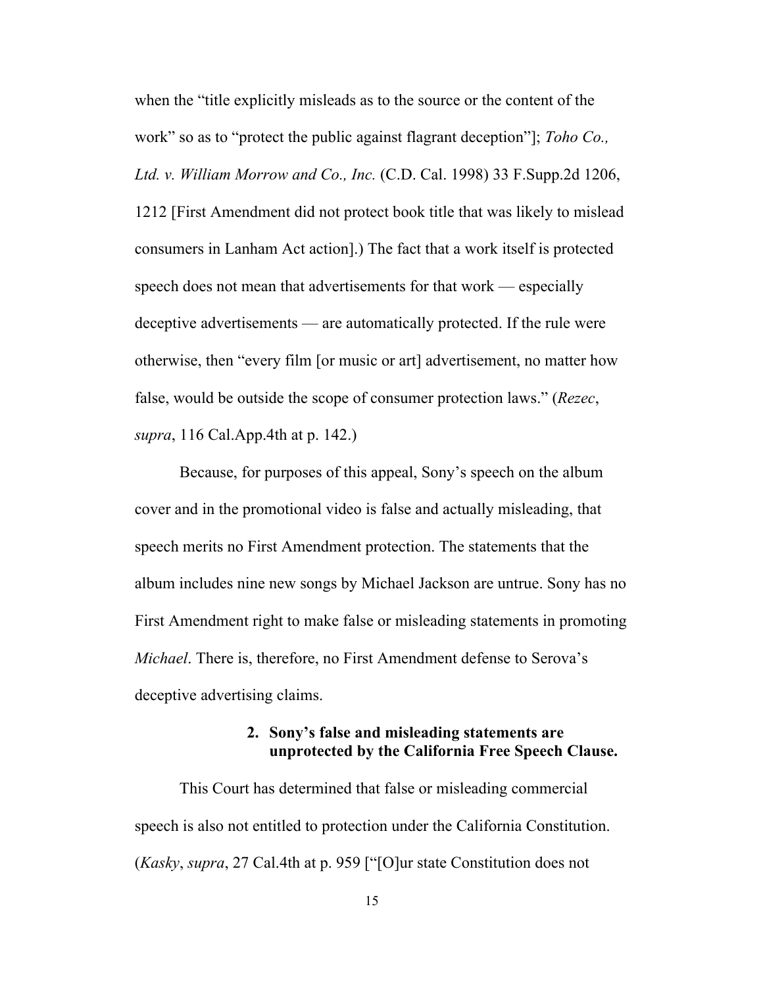when the "title explicitly misleads as to the source or the content of the work" so as to "protect the public against flagrant deception"]; *Toho Co., Ltd. v. William Morrow and Co., Inc.* (C.D. Cal. 1998) 33 F.Supp.2d 1206, 1212 [First Amendment did not protect book title that was likely to mislead consumers in Lanham Act action].) The fact that a work itself is protected speech does not mean that advertisements for that work — especially deceptive advertisements — are automatically protected. If the rule were otherwise, then "every film [or music or art] advertisement, no matter how false, would be outside the scope of consumer protection laws." (*Rezec*, *supra*, 116 Cal.App.4th at p. 142.)

Because, for purposes of this appeal, Sony's speech on the album cover and in the promotional video is false and actually misleading, that speech merits no First Amendment protection. The statements that the album includes nine new songs by Michael Jackson are untrue. Sony has no First Amendment right to make false or misleading statements in promoting *Michael*. There is, therefore, no First Amendment defense to Serova's deceptive advertising claims.

## **2. Sony's false and misleading statements are unprotected by the California Free Speech Clause.**

This Court has determined that false or misleading commercial speech is also not entitled to protection under the California Constitution. (*Kasky*, *supra*, 27 Cal.4th at p. 959 ["[O]ur state Constitution does not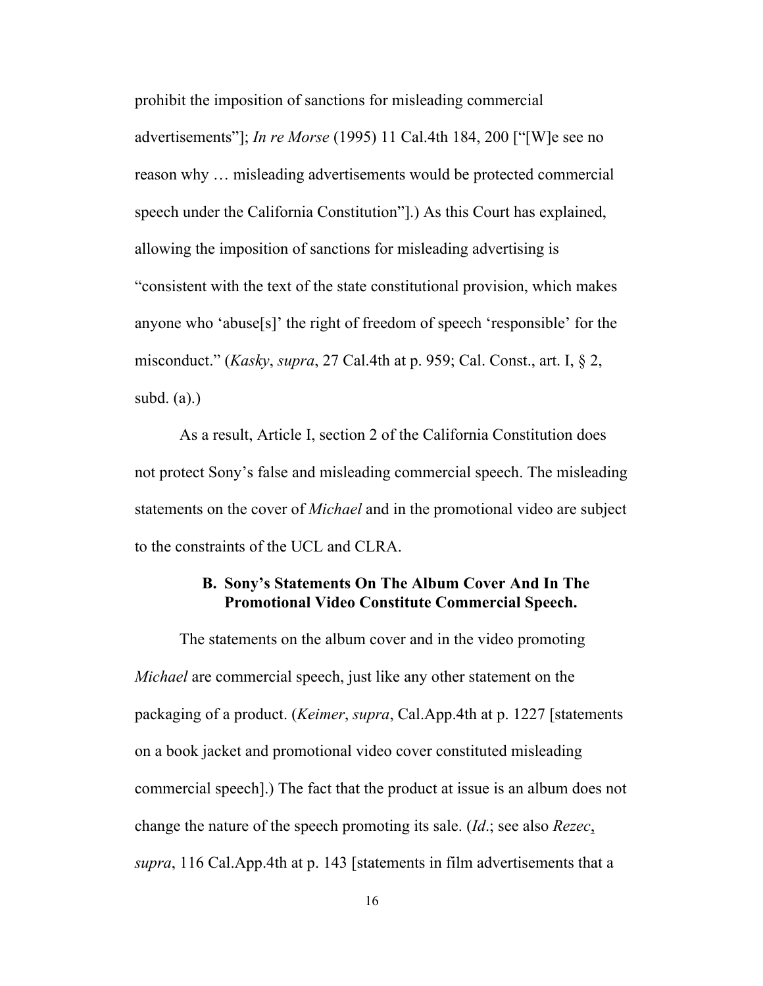prohibit the imposition of sanctions for misleading commercial advertisements"]; *In re Morse* (1995) 11 Cal.4th 184, 200 ["[W]e see no reason why … misleading advertisements would be protected commercial speech under the California Constitution"].) As this Court has explained, allowing the imposition of sanctions for misleading advertising is "consistent with the text of the state constitutional provision, which makes anyone who 'abuse[s]' the right of freedom of speech 'responsible' for the misconduct." (*Kasky*, *supra*, 27 Cal.4th at p. 959; Cal. Const., art. I, § 2, subd. (a).)

As a result, Article I, section 2 of the California Constitution does not protect Sony's false and misleading commercial speech. The misleading statements on the cover of *Michael* and in the promotional video are subject to the constraints of the UCL and CLRA.

## **B. Sony's Statements On The Album Cover And In The Promotional Video Constitute Commercial Speech.**

The statements on the album cover and in the video promoting *Michael* are commercial speech, just like any other statement on the packaging of a product. (*Keimer*, *supra*, Cal.App.4th at p. 1227 [statements on a book jacket and promotional video cover constituted misleading commercial speech].) The fact that the product at issue is an album does not change the nature of the speech promoting its sale. (*Id*.; see also *Rezec*, *supra*, 116 Cal.App.4th at p. 143 [statements in film advertisements that a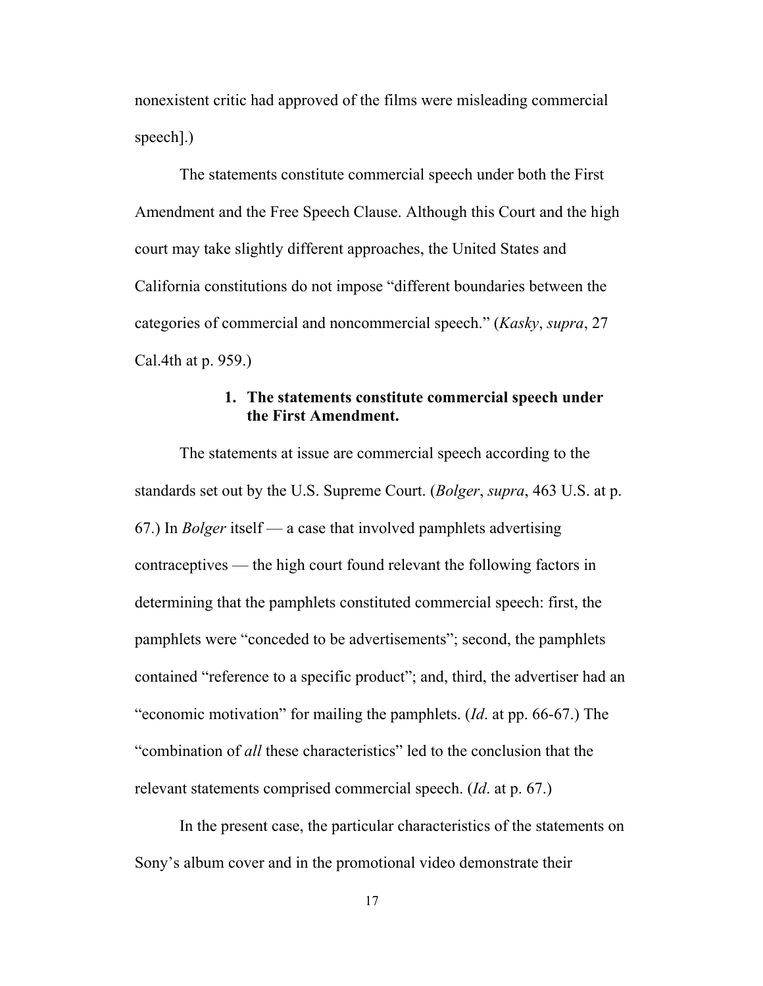nonexistent critic had approved of the films were misleading commercial speech].)

The statements constitute commercial speech under both the First Amendment and the Free Speech Clause. Although this Court and the high court may take slightly different approaches, the United States and California constitutions do not impose "different boundaries between the categories of commercial and noncommercial speech." (*Kasky*, *supra*, 27 Cal.4th at p. 959.)

## **1. The statements constitute commercial speech under the First Amendment.**

The statements at issue are commercial speech according to the standards set out by the U.S. Supreme Court. (*Bolger*, *supra*, 463 U.S. at p. 67.) In *Bolger* itself — a case that involved pamphlets advertising contraceptives — the high court found relevant the following factors in determining that the pamphlets constituted commercial speech: first, the pamphlets were "conceded to be advertisements"; second, the pamphlets contained "reference to a specific product"; and, third, the advertiser had an "economic motivation" for mailing the pamphlets. (*Id*. at pp. 66-67.) The "combination of *all* these characteristics" led to the conclusion that the relevant statements comprised commercial speech. (*Id*. at p. 67.)

In the present case, the particular characteristics of the statements on Sony's album cover and in the promotional video demonstrate their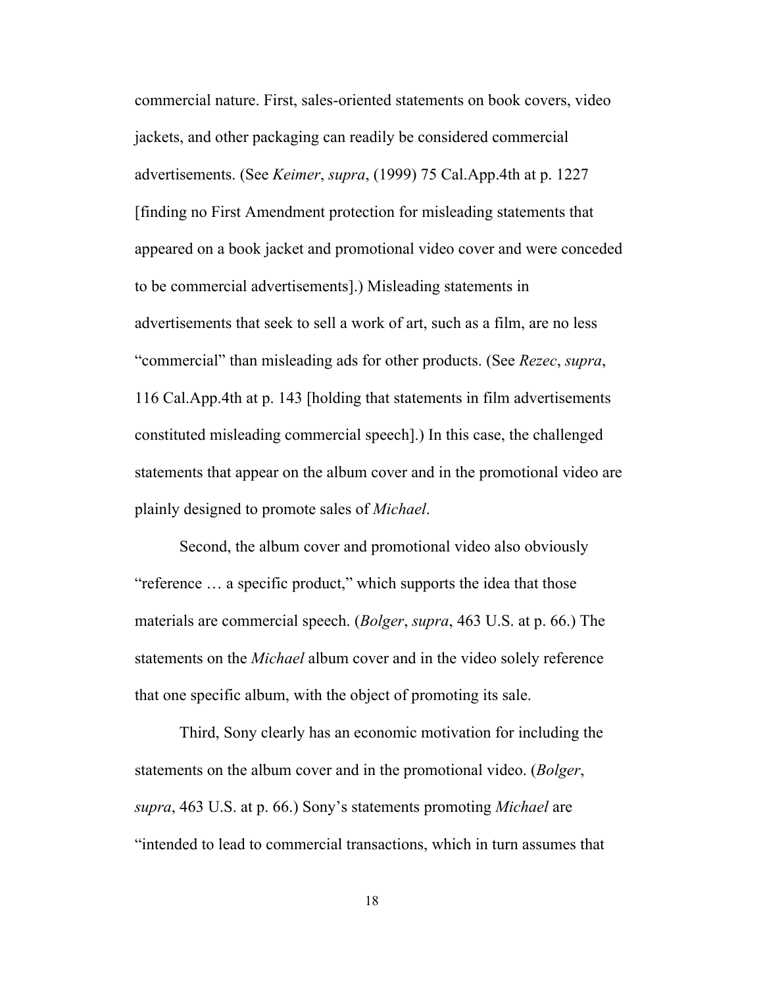commercial nature. First, sales-oriented statements on book covers, video jackets, and other packaging can readily be considered commercial advertisements. (See *Keimer*, *supra*, (1999) 75 Cal.App.4th at p. 1227 [finding no First Amendment protection for misleading statements that appeared on a book jacket and promotional video cover and were conceded to be commercial advertisements].) Misleading statements in advertisements that seek to sell a work of art, such as a film, are no less "commercial" than misleading ads for other products. (See *Rezec*, *supra*, 116 Cal.App.4th at p. 143 [holding that statements in film advertisements constituted misleading commercial speech].) In this case, the challenged statements that appear on the album cover and in the promotional video are plainly designed to promote sales of *Michael*.

Second, the album cover and promotional video also obviously "reference … a specific product," which supports the idea that those materials are commercial speech. (*Bolger*, *supra*, 463 U.S. at p. 66.) The statements on the *Michael* album cover and in the video solely reference that one specific album, with the object of promoting its sale.

Third, Sony clearly has an economic motivation for including the statements on the album cover and in the promotional video. (*Bolger*, *supra*, 463 U.S. at p. 66.) Sony's statements promoting *Michael* are "intended to lead to commercial transactions, which in turn assumes that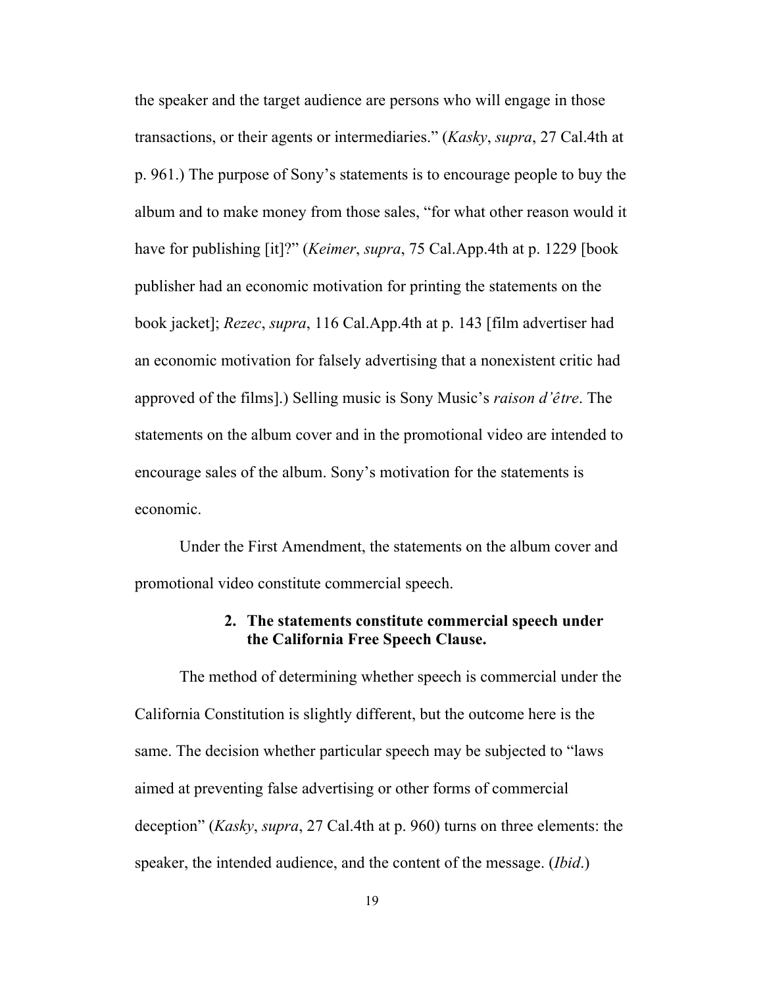the speaker and the target audience are persons who will engage in those transactions, or their agents or intermediaries." (*Kasky*, *supra*, 27 Cal.4th at p. 961.) The purpose of Sony's statements is to encourage people to buy the album and to make money from those sales, "for what other reason would it have for publishing [it]?" (*Keimer*, *supra*, 75 Cal.App.4th at p. 1229 [book publisher had an economic motivation for printing the statements on the book jacket]; *Rezec*, *supra*, 116 Cal.App.4th at p. 143 [film advertiser had an economic motivation for falsely advertising that a nonexistent critic had approved of the films].) Selling music is Sony Music's *raison d'être*. The statements on the album cover and in the promotional video are intended to encourage sales of the album. Sony's motivation for the statements is economic.

Under the First Amendment, the statements on the album cover and promotional video constitute commercial speech.

#### **2. The statements constitute commercial speech under the California Free Speech Clause.**

The method of determining whether speech is commercial under the California Constitution is slightly different, but the outcome here is the same. The decision whether particular speech may be subjected to "laws aimed at preventing false advertising or other forms of commercial deception" (*Kasky*, *supra*, 27 Cal.4th at p. 960) turns on three elements: the speaker, the intended audience, and the content of the message. (*Ibid*.)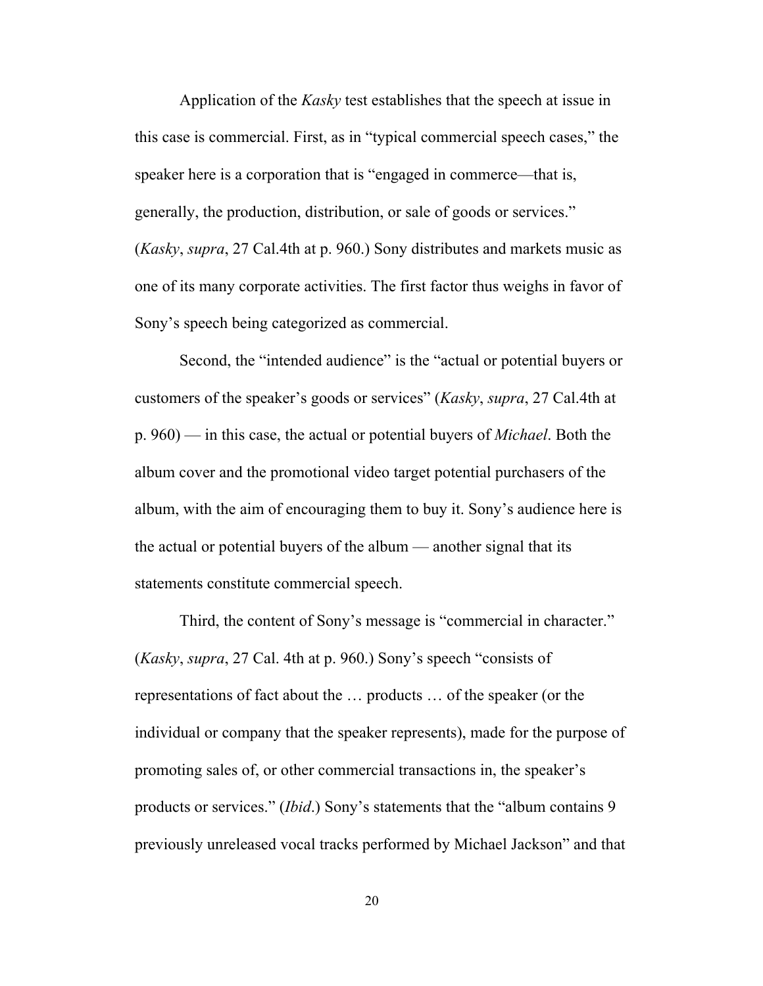Application of the *Kasky* test establishes that the speech at issue in this case is commercial. First, as in "typical commercial speech cases," the speaker here is a corporation that is "engaged in commerce—that is, generally, the production, distribution, or sale of goods or services." (*Kasky*, *supra*, 27 Cal.4th at p. 960.) Sony distributes and markets music as one of its many corporate activities. The first factor thus weighs in favor of Sony's speech being categorized as commercial.

Second, the "intended audience" is the "actual or potential buyers or customers of the speaker's goods or services" (*Kasky*, *supra*, 27 Cal.4th at p. 960) — in this case, the actual or potential buyers of *Michael*. Both the album cover and the promotional video target potential purchasers of the album, with the aim of encouraging them to buy it. Sony's audience here is the actual or potential buyers of the album — another signal that its statements constitute commercial speech.

Third, the content of Sony's message is "commercial in character." (*Kasky*, *supra*, 27 Cal. 4th at p. 960.) Sony's speech "consists of representations of fact about the … products … of the speaker (or the individual or company that the speaker represents), made for the purpose of promoting sales of, or other commercial transactions in, the speaker's products or services." (*Ibid*.) Sony's statements that the "album contains 9 previously unreleased vocal tracks performed by Michael Jackson" and that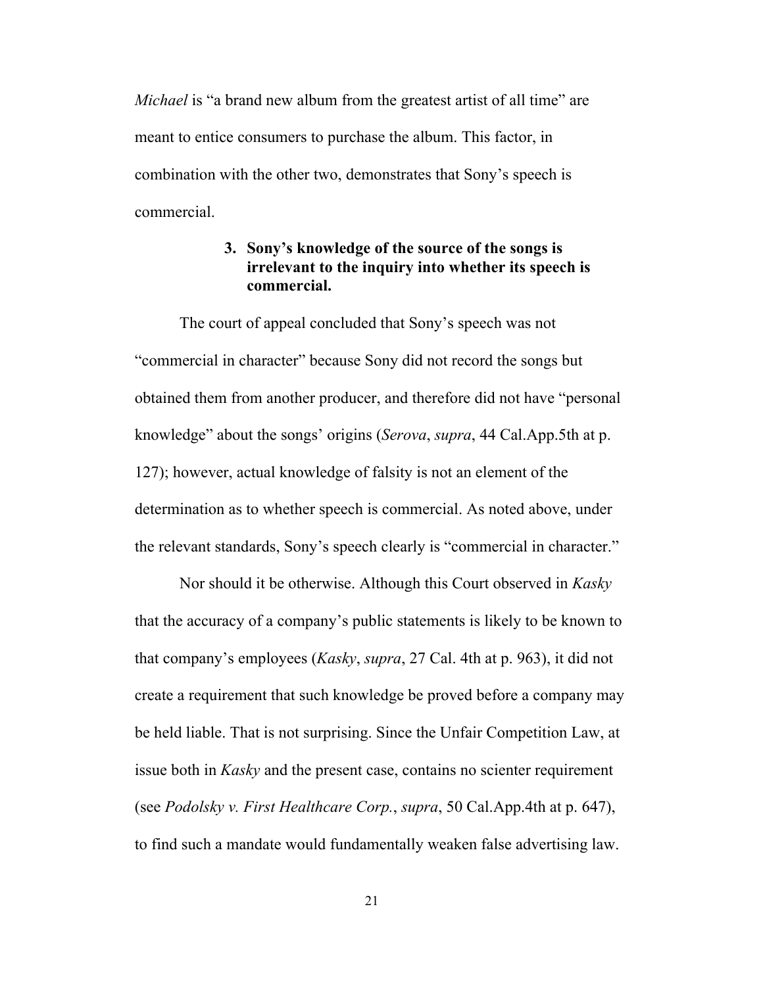*Michael* is "a brand new album from the greatest artist of all time" are meant to entice consumers to purchase the album. This factor, in combination with the other two, demonstrates that Sony's speech is commercial.

## **3. Sony's knowledge of the source of the songs is irrelevant to the inquiry into whether its speech is commercial.**

The court of appeal concluded that Sony's speech was not "commercial in character" because Sony did not record the songs but obtained them from another producer, and therefore did not have "personal knowledge" about the songs' origins (*Serova*, *supra*, 44 Cal.App.5th at p. 127); however, actual knowledge of falsity is not an element of the determination as to whether speech is commercial. As noted above, under the relevant standards, Sony's speech clearly is "commercial in character."

Nor should it be otherwise. Although this Court observed in *Kasky* that the accuracy of a company's public statements is likely to be known to that company's employees (*Kasky*, *supra*, 27 Cal. 4th at p. 963), it did not create a requirement that such knowledge be proved before a company may be held liable. That is not surprising. Since the Unfair Competition Law, at issue both in *Kasky* and the present case, contains no scienter requirement (see *Podolsky v. First Healthcare Corp.*, *supra*, 50 Cal.App.4th at p. 647), to find such a mandate would fundamentally weaken false advertising law.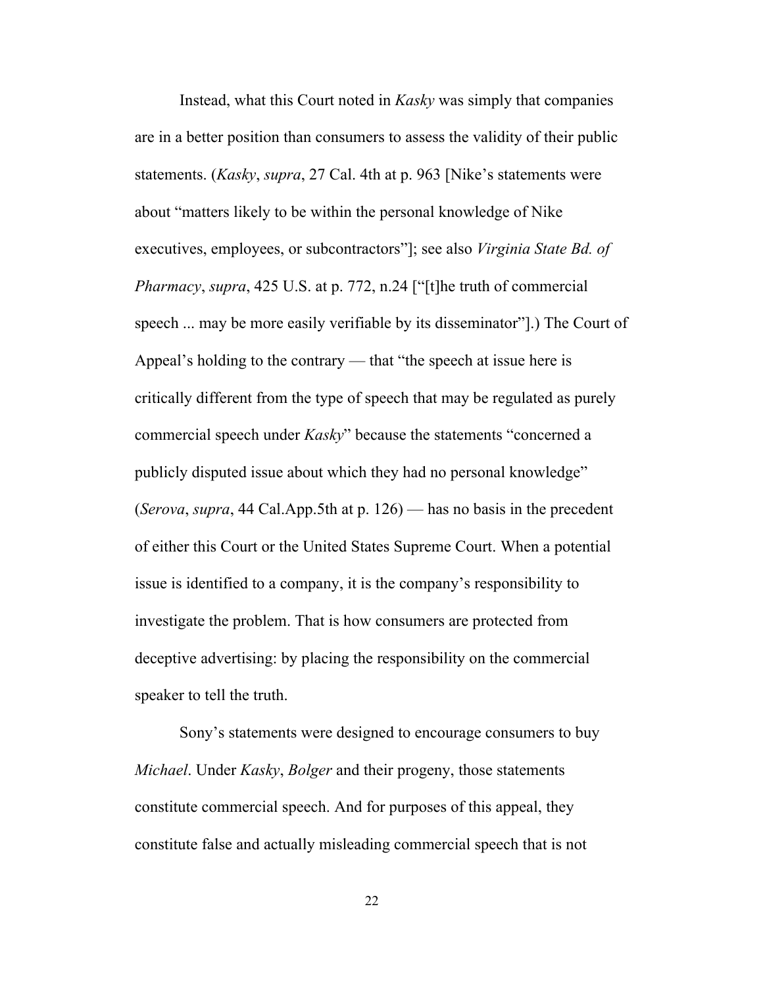Instead, what this Court noted in *Kasky* was simply that companies are in a better position than consumers to assess the validity of their public statements. (*Kasky*, *supra*, 27 Cal. 4th at p. 963 [Nike's statements were about "matters likely to be within the personal knowledge of Nike executives, employees, or subcontractors"]; see also *Virginia State Bd. of Pharmacy*, *supra*, 425 U.S. at p. 772, n.24 ["[t]he truth of commercial speech ... may be more easily verifiable by its disseminator"].) The Court of Appeal's holding to the contrary — that "the speech at issue here is critically different from the type of speech that may be regulated as purely commercial speech under *Kasky*" because the statements "concerned a publicly disputed issue about which they had no personal knowledge" (*Serova*, *supra*, 44 Cal.App.5th at p. 126) — has no basis in the precedent of either this Court or the United States Supreme Court. When a potential issue is identified to a company, it is the company's responsibility to investigate the problem. That is how consumers are protected from deceptive advertising: by placing the responsibility on the commercial speaker to tell the truth.

Sony's statements were designed to encourage consumers to buy *Michael*. Under *Kasky*, *Bolger* and their progeny, those statements constitute commercial speech. And for purposes of this appeal, they constitute false and actually misleading commercial speech that is not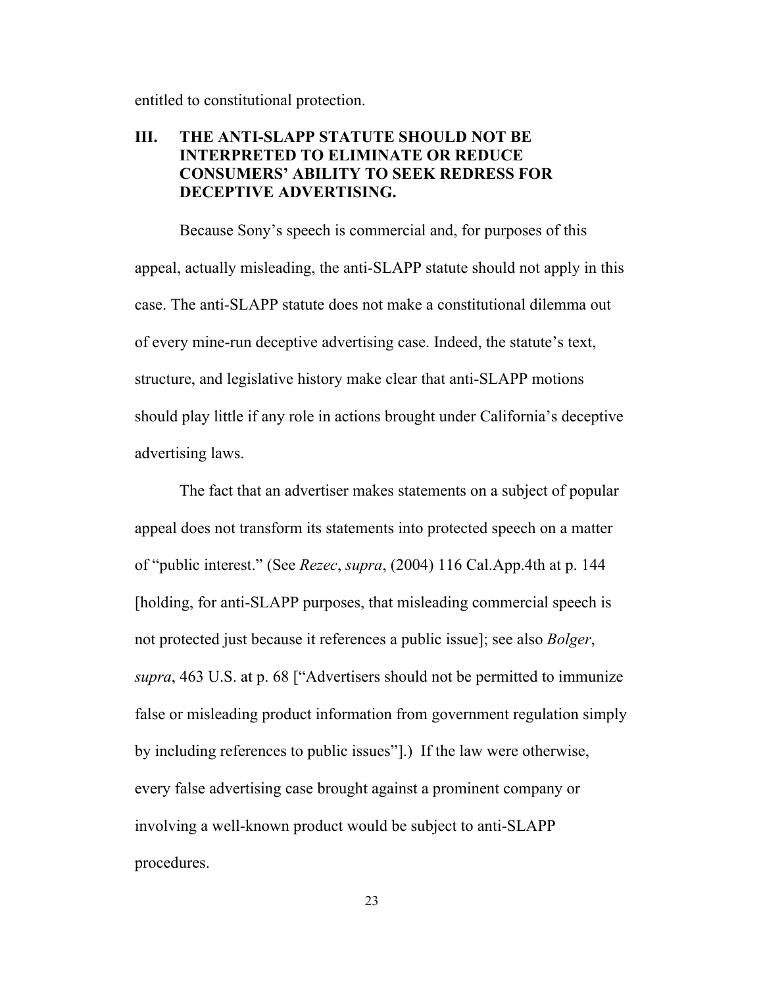entitled to constitutional protection.

## **III. THE ANTI-SLAPP STATUTE SHOULD NOT BE INTERPRETED TO ELIMINATE OR REDUCE CONSUMERS' ABILITY TO SEEK REDRESS FOR DECEPTIVE ADVERTISING.**

Because Sony's speech is commercial and, for purposes of this appeal, actually misleading, the anti-SLAPP statute should not apply in this case. The anti-SLAPP statute does not make a constitutional dilemma out of every mine-run deceptive advertising case. Indeed, the statute's text, structure, and legislative history make clear that anti-SLAPP motions should play little if any role in actions brought under California's deceptive advertising laws.

The fact that an advertiser makes statements on a subject of popular appeal does not transform its statements into protected speech on a matter of "public interest." (See *Rezec*, *supra*, (2004) 116 Cal.App.4th at p. 144 [holding, for anti-SLAPP purposes, that misleading commercial speech is not protected just because it references a public issue]; see also *Bolger*, *supra*, 463 U.S. at p. 68 ["Advertisers should not be permitted to immunize false or misleading product information from government regulation simply by including references to public issues"].) If the law were otherwise, every false advertising case brought against a prominent company or involving a well-known product would be subject to anti-SLAPP procedures.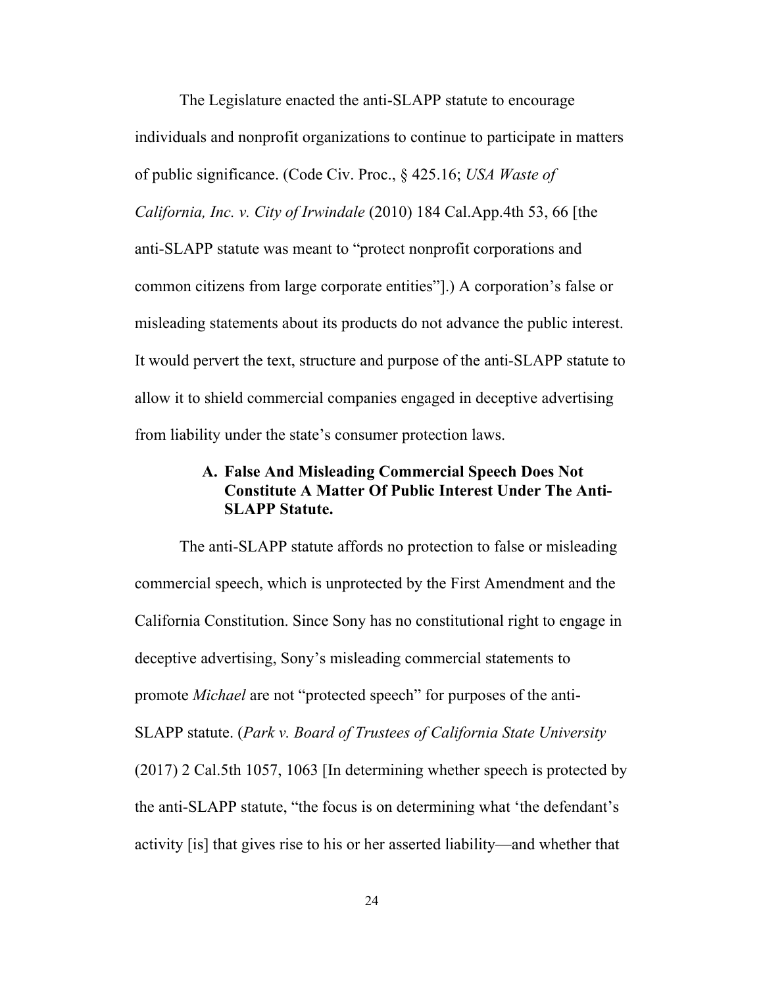The Legislature enacted the anti-SLAPP statute to encourage individuals and nonprofit organizations to continue to participate in matters of public significance. (Code Civ. Proc., § 425.16; *USA Waste of California, Inc. v. City of Irwindale* (2010) 184 Cal.App.4th 53, 66 [the anti-SLAPP statute was meant to "protect nonprofit corporations and common citizens from large corporate entities"].) A corporation's false or misleading statements about its products do not advance the public interest. It would pervert the text, structure and purpose of the anti-SLAPP statute to allow it to shield commercial companies engaged in deceptive advertising from liability under the state's consumer protection laws.

## **A. False And Misleading Commercial Speech Does Not Constitute A Matter Of Public Interest Under The Anti-SLAPP Statute.**

The anti-SLAPP statute affords no protection to false or misleading commercial speech, which is unprotected by the First Amendment and the California Constitution. Since Sony has no constitutional right to engage in deceptive advertising, Sony's misleading commercial statements to promote *Michael* are not "protected speech" for purposes of the anti-SLAPP statute. (*Park v. Board of Trustees of California State University*  (2017) 2 Cal.5th 1057, 1063 [In determining whether speech is protected by the anti-SLAPP statute, "the focus is on determining what 'the defendant's activity [is] that gives rise to his or her asserted liability—and whether that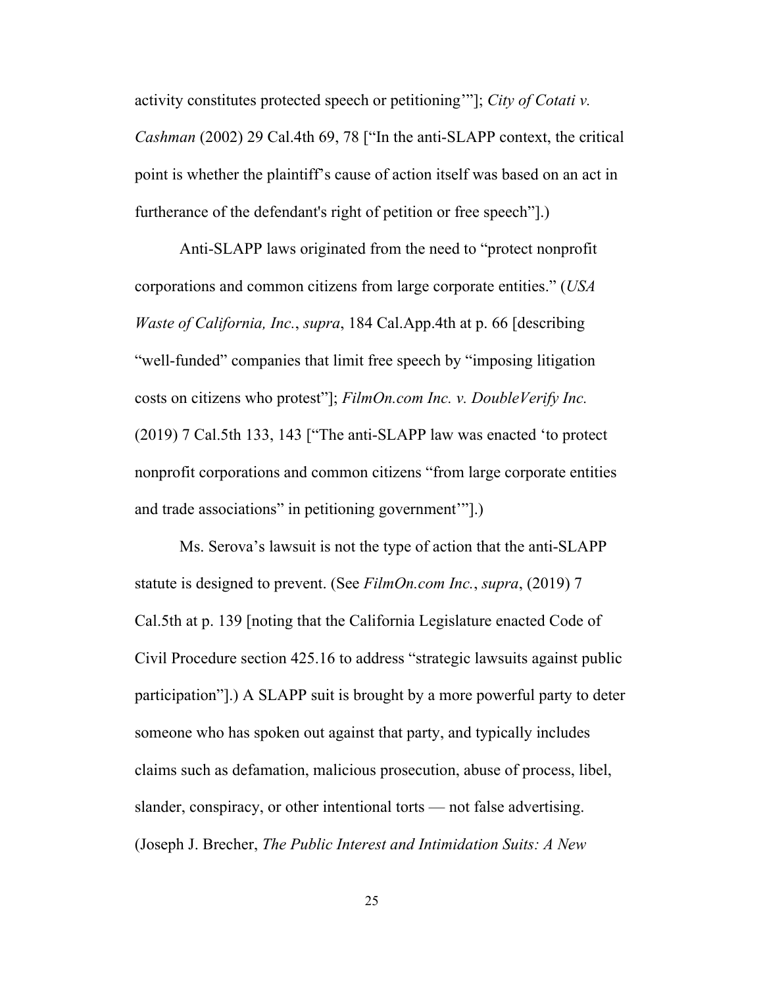activity constitutes protected speech or petitioning'"]; *City of Cotati v.* 

*Cashman* (2002) 29 Cal.4th 69, 78 ["In the anti-SLAPP context, the critical point is whether the plaintiff's cause of action itself was based on an act in furtherance of the defendant's right of petition or free speech"].)

Anti-SLAPP laws originated from the need to "protect nonprofit corporations and common citizens from large corporate entities." (*USA Waste of California, Inc.*, *supra*, 184 Cal.App.4th at p. 66 [describing "well-funded" companies that limit free speech by "imposing litigation costs on citizens who protest"]; *FilmOn.com Inc. v. DoubleVerify Inc.* (2019) 7 Cal.5th 133, 143 ["The anti-SLAPP law was enacted 'to protect nonprofit corporations and common citizens "from large corporate entities and trade associations" in petitioning government'"].)

Ms. Serova's lawsuit is not the type of action that the anti-SLAPP statute is designed to prevent. (See *FilmOn.com Inc.*, *supra*, (2019) 7 Cal.5th at p. 139 [noting that the California Legislature enacted Code of Civil Procedure section 425.16 to address "strategic lawsuits against public participation"].) A SLAPP suit is brought by a more powerful party to deter someone who has spoken out against that party, and typically includes claims such as defamation, malicious prosecution, abuse of process, libel, slander, conspiracy, or other intentional torts — not false advertising. (Joseph J. Brecher, *The Public Interest and Intimidation Suits: A New*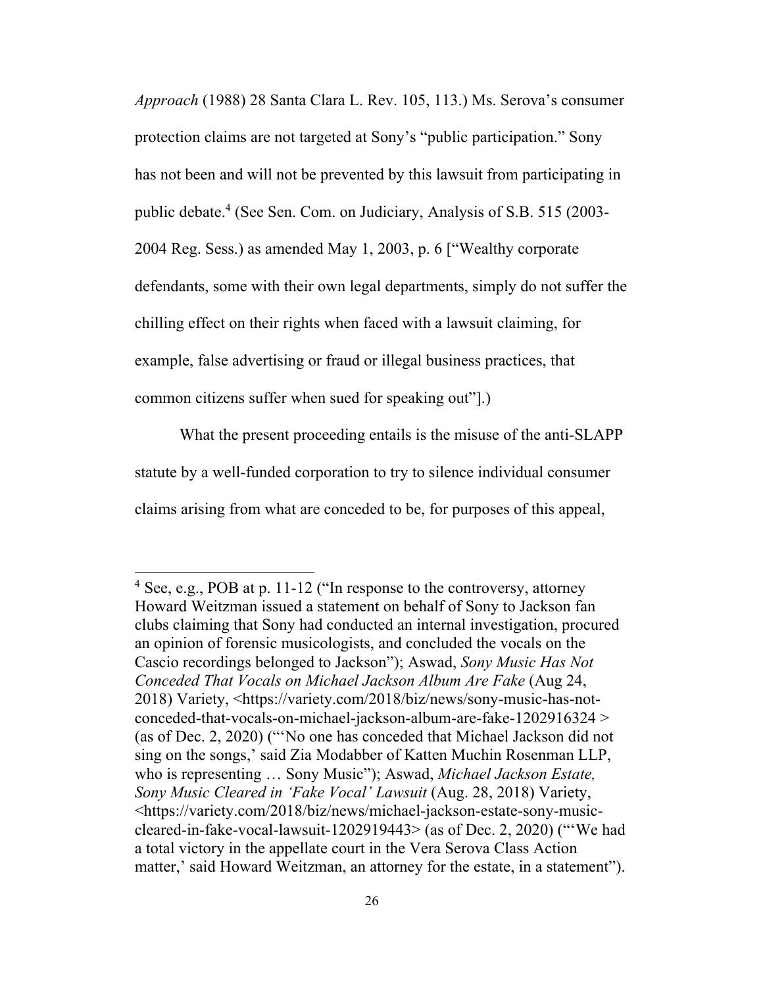*Approach* (1988) 28 Santa Clara L. Rev. 105, 113.) Ms. Serova's consumer protection claims are not targeted at Sony's "public participation." Sony has not been and will not be prevented by this lawsuit from participating in public debate.4 (See Sen. Com. on Judiciary, Analysis of S.B. 515 (2003- 2004 Reg. Sess.) as amended May 1, 2003, p. 6 ["Wealthy corporate defendants, some with their own legal departments, simply do not suffer the chilling effect on their rights when faced with a lawsuit claiming, for example, false advertising or fraud or illegal business practices, that common citizens suffer when sued for speaking out"].)

What the present proceeding entails is the misuse of the anti-SLAPP statute by a well-funded corporation to try to silence individual consumer claims arising from what are conceded to be, for purposes of this appeal,

<sup>4</sup> See, e.g., POB at p. 11-12 ("In response to the controversy, attorney Howard Weitzman issued a statement on behalf of Sony to Jackson fan clubs claiming that Sony had conducted an internal investigation, procured an opinion of forensic musicologists, and concluded the vocals on the Cascio recordings belonged to Jackson"); Aswad, *Sony Music Has Not Conceded That Vocals on Michael Jackson Album Are Fake* (Aug 24, 2018) Variety, <https://variety.com/2018/biz/news/sony-music-has-notconceded-that-vocals-on-michael-jackson-album-are-fake-1202916324 > (as of Dec. 2, 2020) ("'No one has conceded that Michael Jackson did not sing on the songs,' said Zia Modabber of Katten Muchin Rosenman LLP, who is representing … Sony Music"); Aswad, *Michael Jackson Estate, Sony Music Cleared in 'Fake Vocal' Lawsuit* (Aug. 28, 2018) Variety, <https://variety.com/2018/biz/news/michael-jackson-estate-sony-musiccleared-in-fake-vocal-lawsuit-1202919443> (as of Dec. 2, 2020) ("'We had a total victory in the appellate court in the Vera Serova Class Action matter,' said Howard Weitzman, an attorney for the estate, in a statement").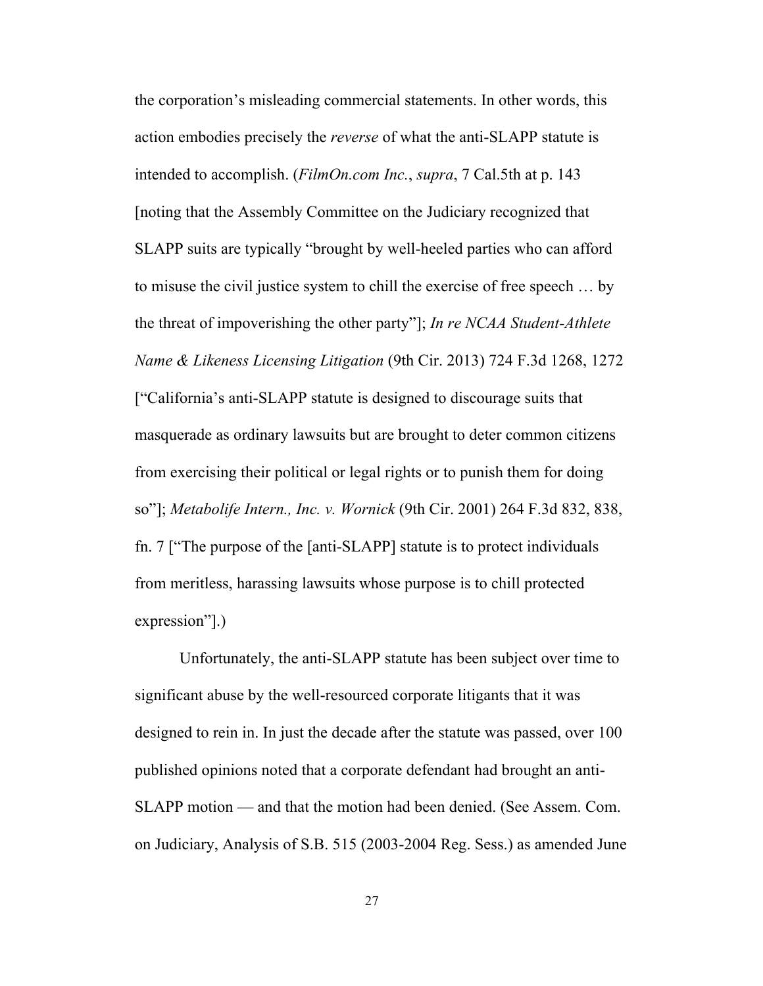the corporation's misleading commercial statements. In other words, this action embodies precisely the *reverse* of what the anti-SLAPP statute is intended to accomplish. (*FilmOn.com Inc.*, *supra*, 7 Cal.5th at p. 143 [noting that the Assembly Committee on the Judiciary recognized that SLAPP suits are typically "brought by well-heeled parties who can afford to misuse the civil justice system to chill the exercise of free speech … by the threat of impoverishing the other party"]; *In re NCAA Student-Athlete Name & Likeness Licensing Litigation* (9th Cir. 2013) 724 F.3d 1268, 1272 ["California's anti-SLAPP statute is designed to discourage suits that masquerade as ordinary lawsuits but are brought to deter common citizens from exercising their political or legal rights or to punish them for doing so"]; *Metabolife Intern., Inc. v. Wornick* (9th Cir. 2001) 264 F.3d 832, 838, fn. 7 ["The purpose of the [anti-SLAPP] statute is to protect individuals from meritless, harassing lawsuits whose purpose is to chill protected expression"].)

Unfortunately, the anti-SLAPP statute has been subject over time to significant abuse by the well-resourced corporate litigants that it was designed to rein in. In just the decade after the statute was passed, over 100 published opinions noted that a corporate defendant had brought an anti-SLAPP motion — and that the motion had been denied. (See Assem. Com. on Judiciary, Analysis of S.B. 515 (2003-2004 Reg. Sess.) as amended June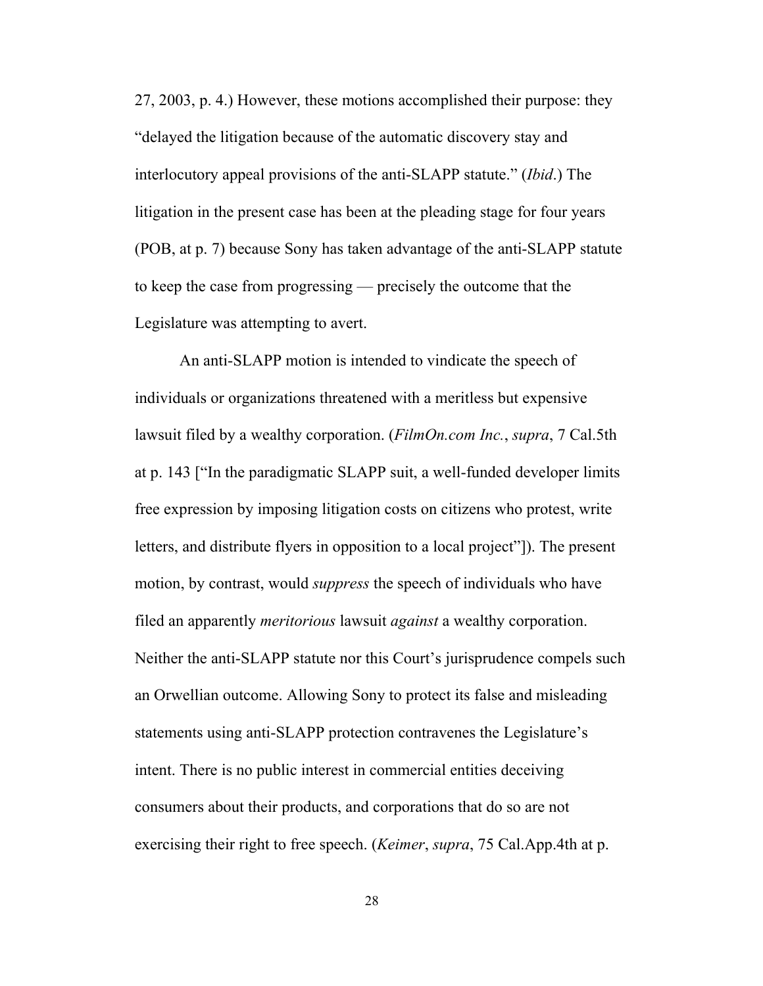27, 2003, p. 4.) However, these motions accomplished their purpose: they "delayed the litigation because of the automatic discovery stay and interlocutory appeal provisions of the anti-SLAPP statute." (*Ibid*.) The litigation in the present case has been at the pleading stage for four years (POB, at p. 7) because Sony has taken advantage of the anti-SLAPP statute to keep the case from progressing — precisely the outcome that the Legislature was attempting to avert.

An anti-SLAPP motion is intended to vindicate the speech of individuals or organizations threatened with a meritless but expensive lawsuit filed by a wealthy corporation. (*FilmOn.com Inc.*, *supra*, 7 Cal.5th at p. 143 ["In the paradigmatic SLAPP suit, a well-funded developer limits free expression by imposing litigation costs on citizens who protest, write letters, and distribute flyers in opposition to a local project"]). The present motion, by contrast, would *suppress* the speech of individuals who have filed an apparently *meritorious* lawsuit *against* a wealthy corporation. Neither the anti-SLAPP statute nor this Court's jurisprudence compels such an Orwellian outcome. Allowing Sony to protect its false and misleading statements using anti-SLAPP protection contravenes the Legislature's intent. There is no public interest in commercial entities deceiving consumers about their products, and corporations that do so are not exercising their right to free speech. (*Keimer*, *supra*, 75 Cal.App.4th at p.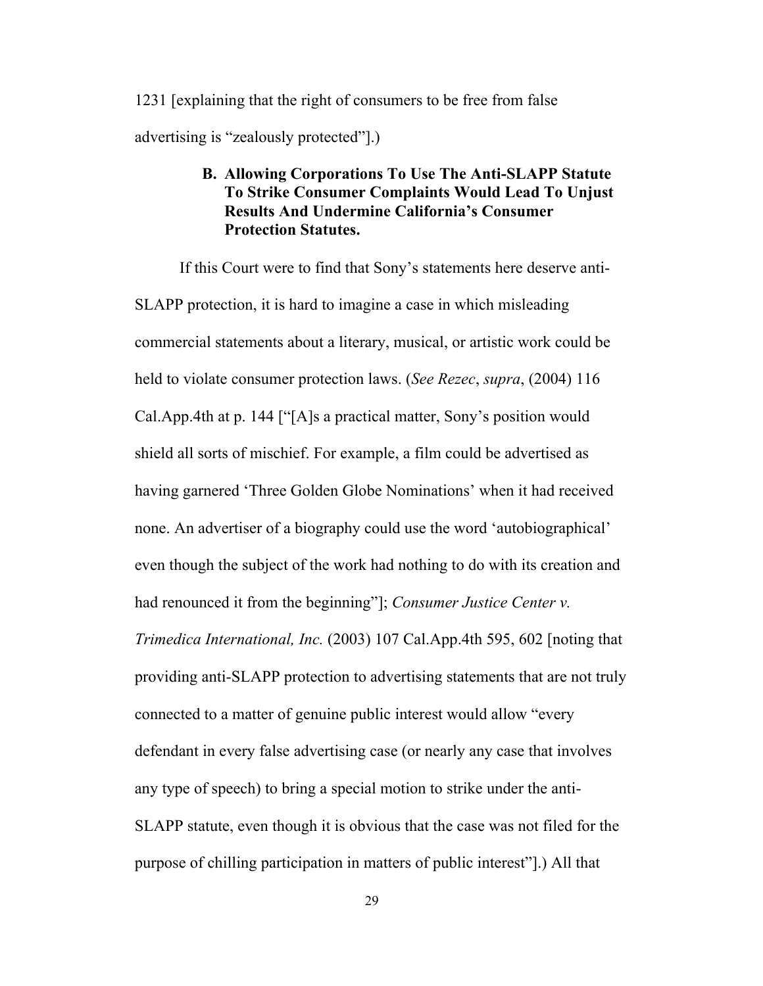1231 [explaining that the right of consumers to be free from false advertising is "zealously protected"].)

## **B. Allowing Corporations To Use The Anti-SLAPP Statute To Strike Consumer Complaints Would Lead To Unjust Results And Undermine California's Consumer Protection Statutes.**

If this Court were to find that Sony's statements here deserve anti-SLAPP protection, it is hard to imagine a case in which misleading commercial statements about a literary, musical, or artistic work could be held to violate consumer protection laws. (*See Rezec*, *supra*, (2004) 116 Cal.App.4th at p. 144 ["[A]s a practical matter, Sony's position would shield all sorts of mischief. For example, a film could be advertised as having garnered 'Three Golden Globe Nominations' when it had received none. An advertiser of a biography could use the word 'autobiographical' even though the subject of the work had nothing to do with its creation and had renounced it from the beginning"]; *Consumer Justice Center v. Trimedica International, Inc.* (2003) 107 Cal.App.4th 595, 602 [noting that providing anti-SLAPP protection to advertising statements that are not truly connected to a matter of genuine public interest would allow "every defendant in every false advertising case (or nearly any case that involves any type of speech) to bring a special motion to strike under the anti-SLAPP statute, even though it is obvious that the case was not filed for the purpose of chilling participation in matters of public interest"].) All that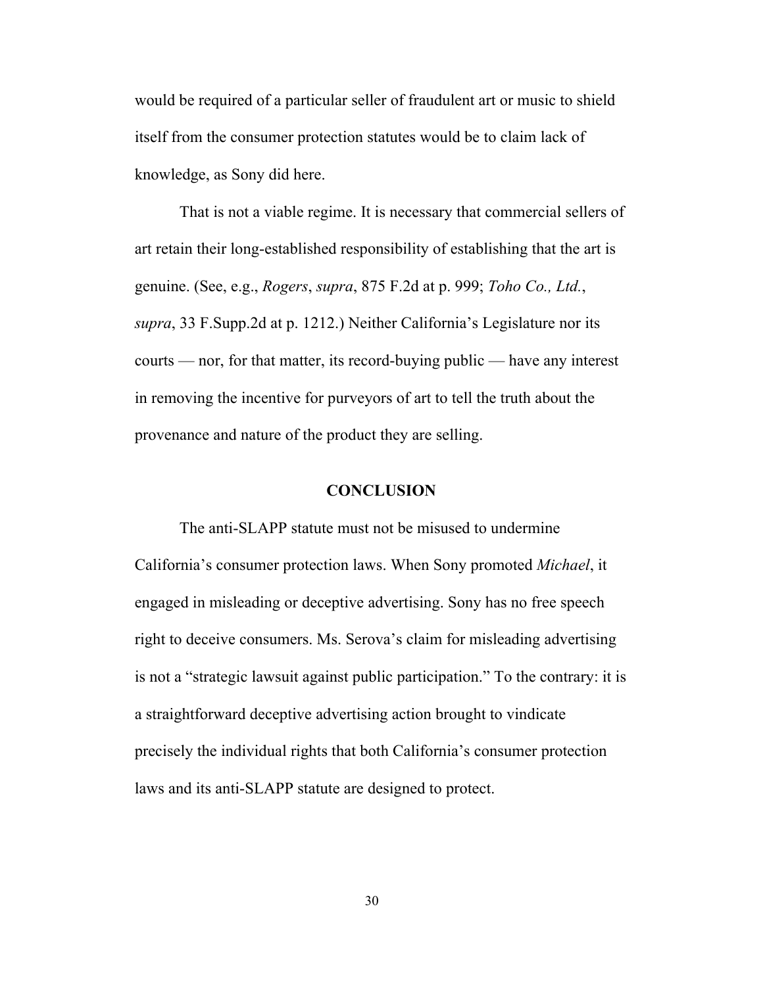would be required of a particular seller of fraudulent art or music to shield itself from the consumer protection statutes would be to claim lack of knowledge, as Sony did here.

That is not a viable regime. It is necessary that commercial sellers of art retain their long-established responsibility of establishing that the art is genuine. (See, e.g., *Rogers*, *supra*, 875 F.2d at p. 999; *Toho Co., Ltd.*, *supra*, 33 F.Supp.2d at p. 1212.) Neither California's Legislature nor its courts — nor, for that matter, its record-buying public — have any interest in removing the incentive for purveyors of art to tell the truth about the provenance and nature of the product they are selling.

#### **CONCLUSION**

The anti-SLAPP statute must not be misused to undermine California's consumer protection laws. When Sony promoted *Michael*, it engaged in misleading or deceptive advertising. Sony has no free speech right to deceive consumers. Ms. Serova's claim for misleading advertising is not a "strategic lawsuit against public participation." To the contrary: it is a straightforward deceptive advertising action brought to vindicate precisely the individual rights that both California's consumer protection laws and its anti-SLAPP statute are designed to protect.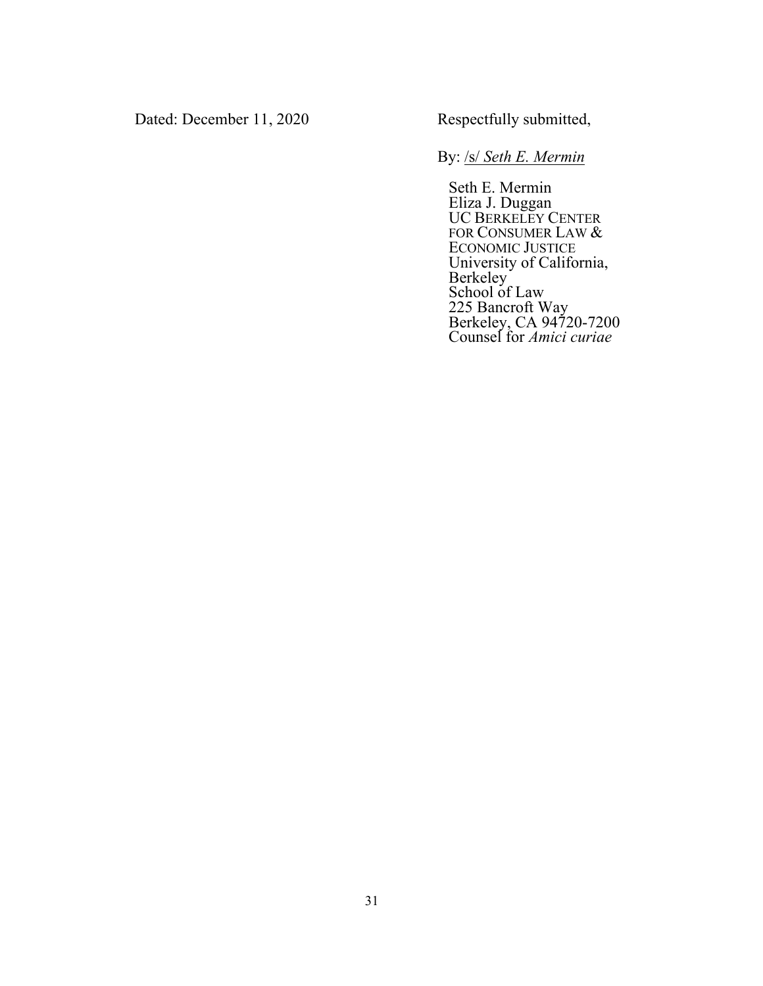Dated: December 11, 2020 Respectfully submitted,

By: /s/ *Seth E. Mermin*

Seth E. Mermin Eliza J. Duggan UC BERKELEY CENTER FOR CONSUMER LAW & ECONOMIC JUSTICE University of California, Berkeley School of Law 225 Bancroft Way Berkeley, CA 94720-7200 Counsel for *Amici curiae*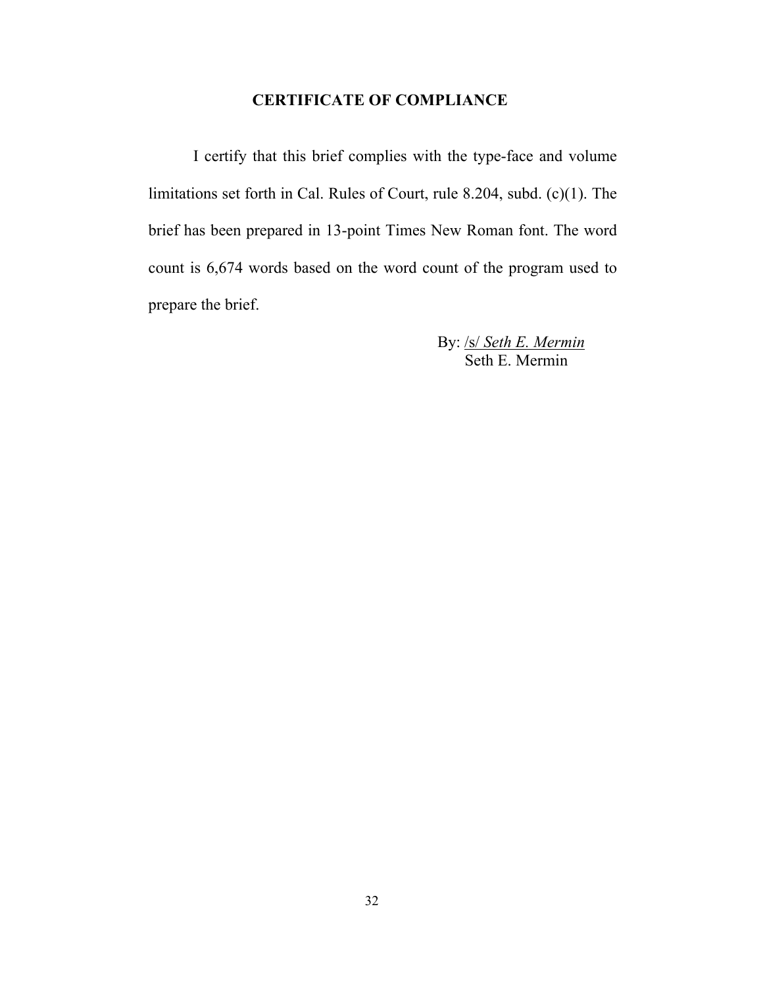### **CERTIFICATE OF COMPLIANCE**

I certify that this brief complies with the type-face and volume limitations set forth in Cal. Rules of Court, rule 8.204, subd. (c)(1). The brief has been prepared in 13-point Times New Roman font. The word count is 6,674 words based on the word count of the program used to prepare the brief.

> By: /s/ *Seth E. Mermin* Seth E. Mermin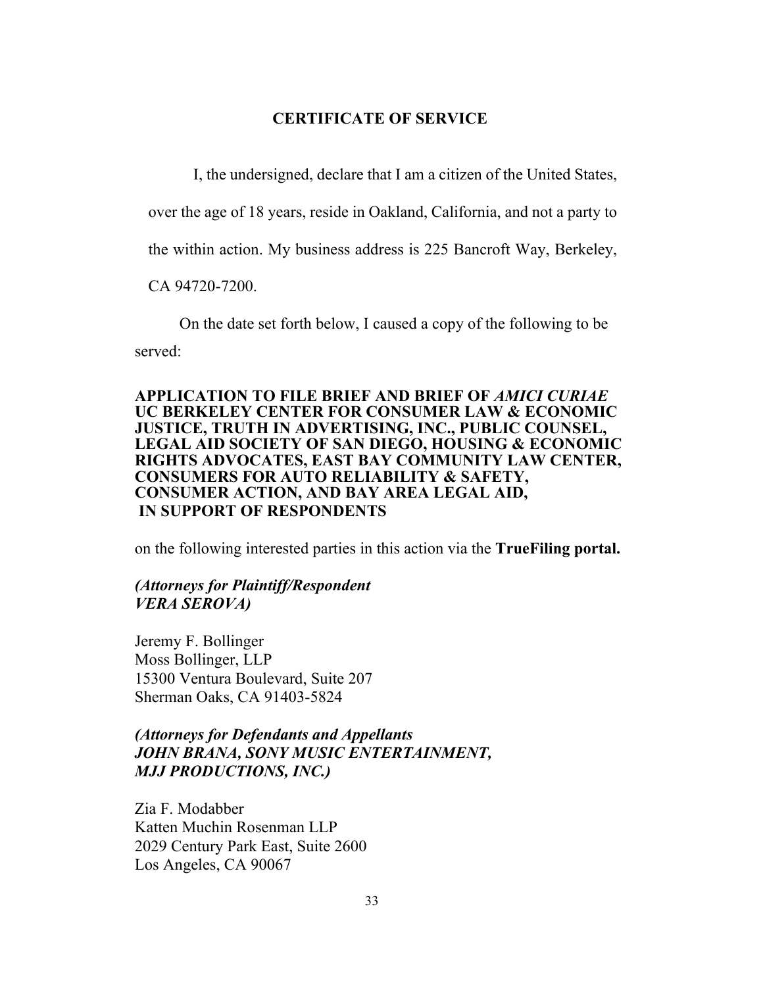#### **CERTIFICATE OF SERVICE**

I, the undersigned, declare that I am a citizen of the United States,

over the age of 18 years, reside in Oakland, California, and not a party to

the within action. My business address is 225 Bancroft Way, Berkeley,

CA 94720-7200.

On the date set forth below, I caused a copy of the following to be

served:

#### **APPLICATION TO FILE BRIEF AND BRIEF OF** *AMICI CURIAE* **UC BERKELEY CENTER FOR CONSUMER LAW & ECONOMIC JUSTICE, TRUTH IN ADVERTISING, INC., PUBLIC COUNSEL, LEGAL AID SOCIETY OF SAN DIEGO, HOUSING & ECONOMIC RIGHTS ADVOCATES, EAST BAY COMMUNITY LAW CENTER, CONSUMERS FOR AUTO RELIABILITY & SAFETY, CONSUMER ACTION, AND BAY AREA LEGAL AID, IN SUPPORT OF RESPONDENTS**

on the following interested parties in this action via the **TrueFiling portal.** 

#### *(Attorneys for Plaintiff/Respondent VERA SEROVA)*

Jeremy F. Bollinger Moss Bollinger, LLP 15300 Ventura Boulevard, Suite 207 Sherman Oaks, CA 91403-5824

## *(Attorneys for Defendants and Appellants JOHN BRANA, SONY MUSIC ENTERTAINMENT, MJJ PRODUCTIONS, INC.)*

Zia F. Modabber Katten Muchin Rosenman LLP 2029 Century Park East, Suite 2600 Los Angeles, CA 90067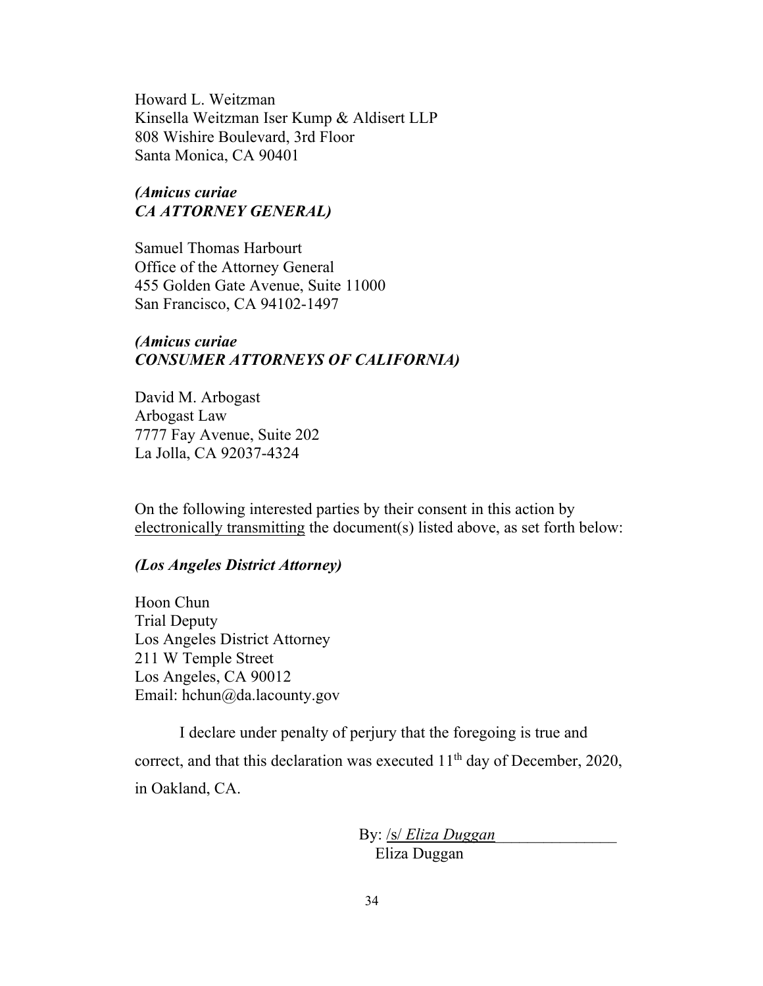Howard L. Weitzman Kinsella Weitzman Iser Kump & Aldisert LLP 808 Wishire Boulevard, 3rd Floor Santa Monica, CA 90401

## *(Amicus curiae CA ATTORNEY GENERAL)*

Samuel Thomas Harbourt Office of the Attorney General 455 Golden Gate Avenue, Suite 11000 San Francisco, CA 94102-1497

### *(Amicus curiae CONSUMER ATTORNEYS OF CALIFORNIA)*

David M. Arbogast Arbogast Law 7777 Fay Avenue, Suite 202 La Jolla, CA 92037-4324

On the following interested parties by their consent in this action by electronically transmitting the document(s) listed above, as set forth below:

#### *(Los Angeles District Attorney)*

Hoon Chun Trial Deputy Los Angeles District Attorney 211 W Temple Street Los Angeles, CA 90012 Email: hchun@da.lacounty.gov

I declare under penalty of perjury that the foregoing is true and correct, and that this declaration was executed  $11<sup>th</sup>$  day of December, 2020, in Oakland, CA.

> By: /s/ *Eliza Duggan*\_\_\_\_\_\_\_\_\_\_\_\_\_\_\_ Eliza Duggan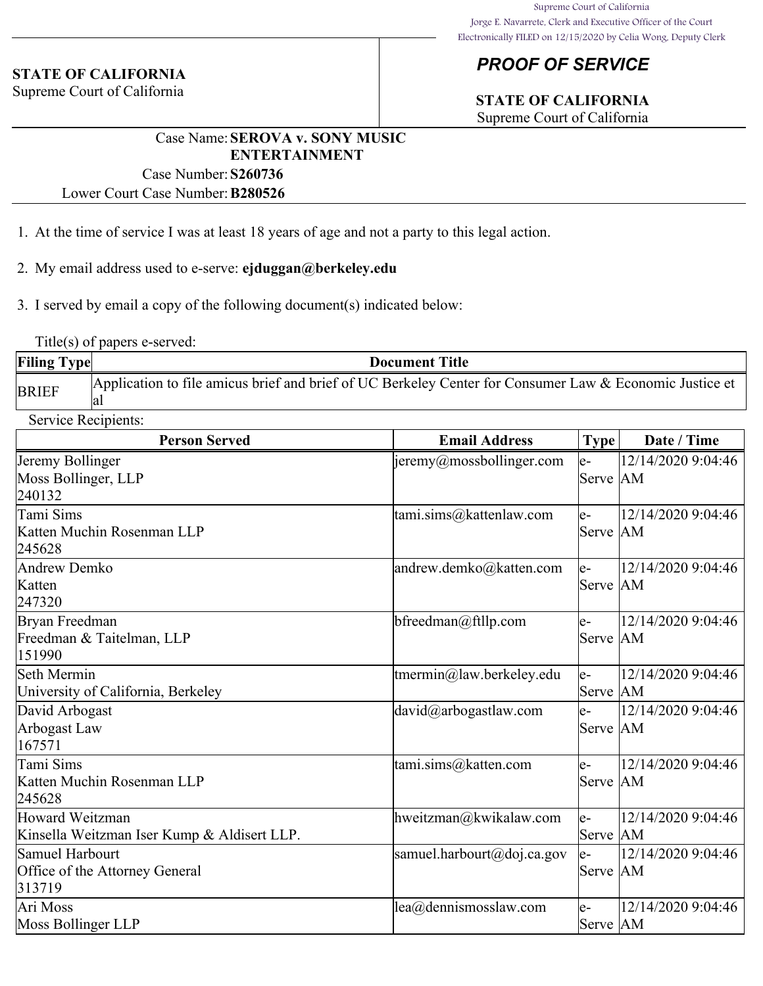#### **STATE OF CALIFORNIA**

Supreme Court of California

# *PROOF OF SERVICE*

# **STATE OF CALIFORNIA**

Supreme Court of California

## Case Name:**SEROVA v. SONY MUSIC ENTERTAINMENT**

Case Number:**S260736**

Lower Court Case Number:**B280526**

- 1. At the time of service I was at least 18 years of age and not a party to this legal action.
- 2. My email address used to e-serve: **ejduggan@berkeley.edu**
- 3. I served by email a copy of the following document(s) indicated below:

Title(s) of papers e-served:

| <b>Filing Type</b> | <b>Document Title</b>                                                                                          |
|--------------------|----------------------------------------------------------------------------------------------------------------|
| <b>BRIEF</b>       | Application to file amicus brief and brief of UC Berkeley Center for Consumer Law & Economic Justice et<br>la. |

| <b>Service Recipients:</b>                  |                                        |           |                    |  |
|---------------------------------------------|----------------------------------------|-----------|--------------------|--|
| <b>Person Served</b>                        | <b>Email Address</b>                   | Type      | Date / Time        |  |
| Jeremy Bollinger                            | $\frac{1}{2}$ jeremy@mossbollinger.com | le-       | 12/14/2020 9:04:46 |  |
| Moss Bollinger, LLP                         |                                        | Serve AM  |                    |  |
| 240132                                      |                                        |           |                    |  |
| Tami Sims                                   | tami.sims@kattenlaw.com                | le-       | 12/14/2020 9:04:46 |  |
| Katten Muchin Rosenman LLP                  |                                        | Serve AM  |                    |  |
| 245628                                      |                                        |           |                    |  |
| Andrew Demko                                | andrew.demko@katten.com                | le-       | 12/14/2020 9:04:46 |  |
| Katten                                      |                                        | Serve  AM |                    |  |
| 247320                                      |                                        |           |                    |  |
| Bryan Freedman                              | bfreedman@ftllp.com                    | le-       | 12/14/2020 9:04:46 |  |
| Freedman & Taitelman, LLP                   |                                        | Serve AM  |                    |  |
| 151990                                      |                                        |           |                    |  |
| Seth Mermin                                 | tmermin@law.berkeley.edu               | $e-$      | 12/14/2020 9:04:46 |  |
| University of California, Berkeley          |                                        | Serve  AM |                    |  |
| David Arbogast                              | david@arbogastlaw.com                  | le-       | 12/14/2020 9:04:46 |  |
| Arbogast Law                                |                                        | Serve AM  |                    |  |
| 167571                                      |                                        |           |                    |  |
| Tami Sims                                   | tami.sims@katten.com                   | le-       | 12/14/2020 9:04:46 |  |
| Katten Muchin Rosenman LLP                  |                                        | Serve  AM |                    |  |
| 245628                                      |                                        |           |                    |  |
| Howard Weitzman                             | hweitzman@kwikalaw.com                 | le-       | 12/14/2020 9:04:46 |  |
| Kinsella Weitzman Iser Kump & Aldisert LLP. |                                        | Serve  AM |                    |  |
| Samuel Harbourt                             | samuel.harbourt@doj.ca.gov             | le-       | 12/14/2020 9:04:46 |  |
| Office of the Attorney General              |                                        | Serve AM  |                    |  |
| 313719                                      |                                        |           |                    |  |
| Ari Moss                                    | lea@dennismosslaw.com                  | le-       | 12/14/2020 9:04:46 |  |
| Moss Bollinger LLP                          |                                        | Serve AM  |                    |  |